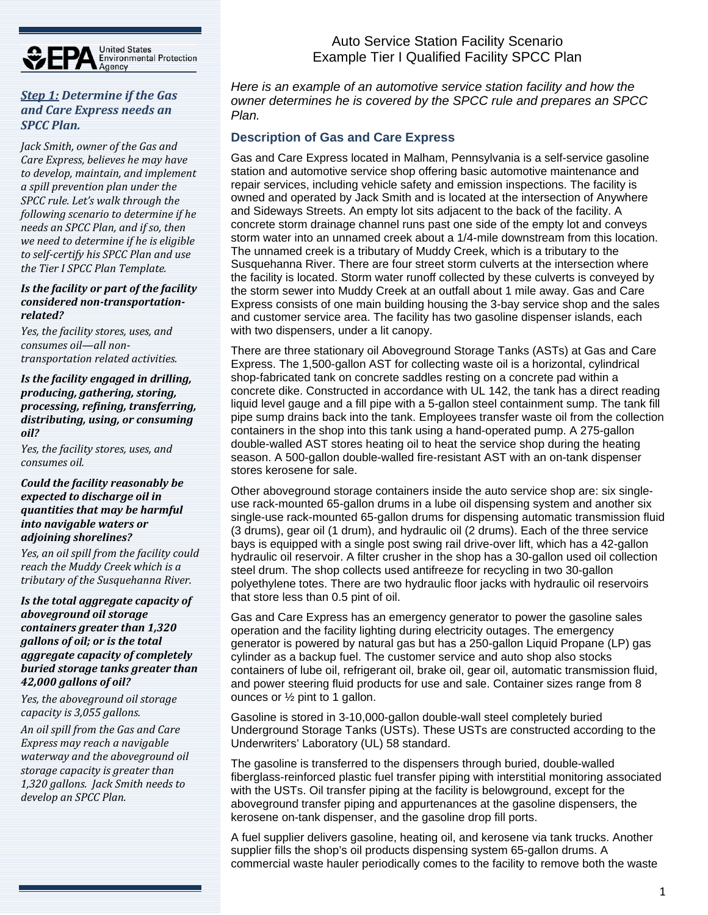

#### *Step 1: Determine if the Gas and Care Express needs an SPCC Plan.*

*Jack Smith, owner of the Gas and Care Express, believes he may have to develop, maintain, and implement a spill prevention plan under the SPCC rule. Let's walk through the following scenario to determine if he needs an SPCC Plan, and if so, then we need to determine if he is eligible to self‐certify his SPCC Plan and use the Tier I SPCC Plan Template.*

#### *Is the facility or part of the facility considered non‐transportation‐ related?*

*Yes, the facility stores, uses, and consumes oil—all non‐ transportation related activities.*

*Is the facility engaged in drilling, producing, gathering, storing, processing, refining, transferring, distributing, using, or consuming oil?*

*Yes, the facility stores, uses, and consumes oil.*

*Could the facility reasonably be expected to discharge oil in quantities that may be harmful into navigable waters or adjoining shorelines?*

*Yes, an oil spill from the facility could reach the Muddy Creek which is a tributary of the Susquehanna River.*

*Is the total aggregate capacity of aboveground oil storage containers greater than 1,320 gallons of oil; or is the total aggregate capacity of completely buried storage tanks greater than 42,000 gallons of oil?*

*Yes, the aboveground oil storage capacity is 3,055 gallons.*

*An oil spill from the Gas and Care Express may reach a navigable waterway and the aboveground oil storage capacity is greater than 1,320 gallons. Jack Smith needs to develop an SPCC Plan.*

Auto Service Station Facility Scenario Example Tier I Qualified Facility SPCC Plan

*Here is an example of an automotive service station facility and how the owner determines he is covered by the SPCC rule and prepares an SPCC Plan.* 

## **Description of Gas and Care Express**

Gas and Care Express located in Malham, Pennsylvania is a self-service gasoline station and automotive service shop offering basic automotive maintenance and repair services, including vehicle safety and emission inspections. The facility is owned and operated by Jack Smith and is located at the intersection of Anywhere and Sideways Streets. An empty lot sits adjacent to the back of the facility. A concrete storm drainage channel runs past one side of the empty lot and conveys storm water into an unnamed creek about a 1/4-mile downstream from this location. The unnamed creek is a tributary of Muddy Creek, which is a tributary to the Susquehanna River. There are four street storm culverts at the intersection where the facility is located. Storm water runoff collected by these culverts is conveyed by the storm sewer into Muddy Creek at an outfall about 1 mile away. Gas and Care Express consists of one main building housing the 3-bay service shop and the sales and customer service area. The facility has two gasoline dispenser islands, each with two dispensers, under a lit canopy.

There are three stationary oil Aboveground Storage Tanks (ASTs) at Gas and Care Express. The 1,500-gallon AST for collecting waste oil is a horizontal, cylindrical shop-fabricated tank on concrete saddles resting on a concrete pad within a concrete dike. Constructed in accordance with UL 142, the tank has a direct reading liquid level gauge and a fill pipe with a 5-gallon steel containment sump. The tank fill pipe sump drains back into the tank. Employees transfer waste oil from the collection containers in the shop into this tank using a hand-operated pump. A 275-gallon double-walled AST stores heating oil to heat the service shop during the heating season. A 500-gallon double-walled fire-resistant AST with an on-tank dispenser stores kerosene for sale.

Other aboveground storage containers inside the auto service shop are: six singleuse rack-mounted 65-gallon drums in a lube oil dispensing system and another six single-use rack-mounted 65-gallon drums for dispensing automatic transmission fluid (3 drums), gear oil (1 drum), and hydraulic oil (2 drums). Each of the three service bays is equipped with a single post swing rail drive-over lift, which has a 42-gallon hydraulic oil reservoir. A filter crusher in the shop has a 30-gallon used oil collection steel drum. The shop collects used antifreeze for recycling in two 30-gallon polyethylene totes. There are two hydraulic floor jacks with hydraulic oil reservoirs that store less than 0.5 pint of oil.

Gas and Care Express has an emergency generator to power the gasoline sales operation and the facility lighting during electricity outages. The emergency generator is powered by natural gas but has a 250-gallon Liquid Propane (LP) gas cylinder as a backup fuel. The customer service and auto shop also stocks containers of lube oil, refrigerant oil, brake oil, gear oil, automatic transmission fluid, and power steering fluid products for use and sale. Container sizes range from 8 ounces or ½ pint to 1 gallon.

Gasoline is stored in 3-10,000-gallon double-wall steel completely buried Underground Storage Tanks (USTs). These USTs are constructed according to the Underwriters' Laboratory (UL) 58 standard.

The gasoline is transferred to the dispensers through buried, double-walled fiberglass-reinforced plastic fuel transfer piping with interstitial monitoring associated with the USTs. Oil transfer piping at the facility is belowground, except for the aboveground transfer piping and appurtenances at the gasoline dispensers, the kerosene on-tank dispenser, and the gasoline drop fill ports.

A fuel supplier delivers gasoline, heating oil, and kerosene via tank trucks. Another supplier fills the shop's oil products dispensing system 65-gallon drums. A commercial waste hauler periodically comes to the facility to remove both the waste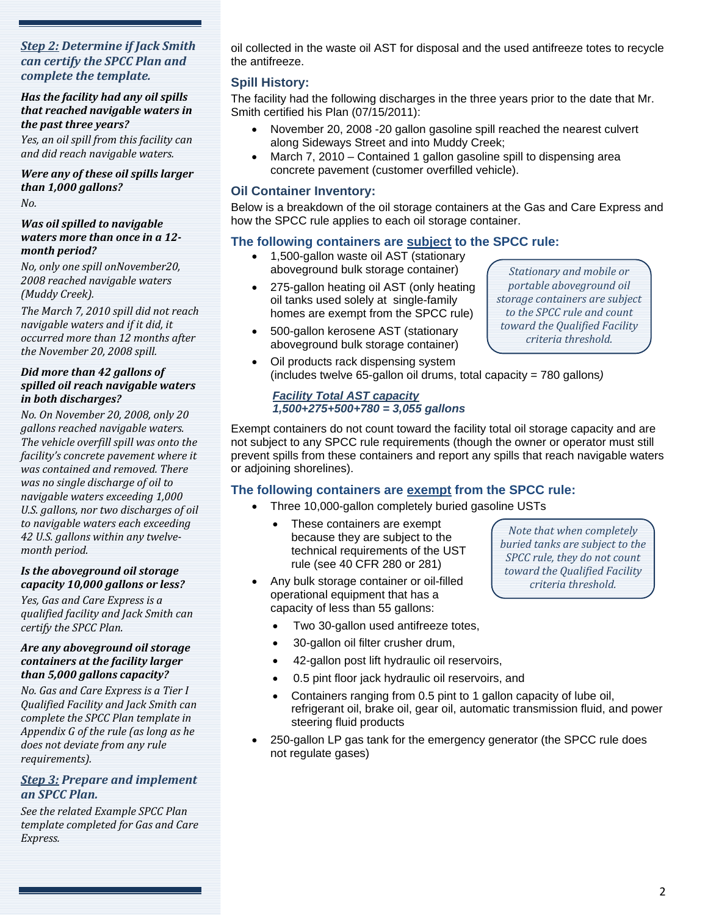#### *Step 2: Determine if Jack Smith can certify the SPCC Plan and complete the template.*

#### *Has the facility had any oil spills that reached navigable waters in the past three years?*

*Yes, an oil spill from this facility can and did reach navigable waters.*

#### *Were any of these oil spills larger than 1,000 gallons? No.*

#### *Was oil spilled to navigable waters more than once in a 12‐ month period?*

*No, only one spill onNovember20, 2008 reached navigable waters (Muddy Creek).*

*The March 7, 2010 spill did not reach navigable waters and if it did, it occurred more than 12 months after the November 20, 2008 spill.*

#### *Did more than 42 gallons of spilled oil reach navigable waters in both discharges?*

*No. On November 20, 2008, only 20 gallons reached navigable waters. The vehicle overfill spill was onto the facility's concrete pavement where it was contained and removed. There was no single discharge of oil to navigable waters exceeding 1,000 U.S. gallons, nor two discharges of oil to navigable waters each exceeding 42 U.S. gallons within any twelve‐ month period.*

#### *Is the aboveground oil storage capacity 10,000 gallons or less?*

*Yes, Gas and Care Express is a qualified facility and Jack Smith can certify the SPCC Plan.*

#### *Are any aboveground oil storage containers at the facility larger than 5,000 gallons capacity?*

*No. Gas and Care Express is a Tier I Qualified Facility and Jack Smith can complete the SPCC Plan template in Appendix G of the rule (as long as he does not deviate from any rule requirements).*

## *Step 3: Prepare and implement an SPCC Plan.*

*See the related Example SPCC Plan template completed for Gas and Care Express.*

oil collected in the waste oil AST for disposal and the used antifreeze totes to recycle the antifreeze.

## **Spill History:**

The facility had the following discharges in the three years prior to the date that Mr. Smith certified his Plan (07/15/2011):

- November 20, 2008 -20 gallon gasoline spill reached the nearest culvert along Sideways Street and into Muddy Creek;
- March 7, 2010 Contained 1 gallon gasoline spill to dispensing area concrete pavement (customer overfilled vehicle).

## **Oil Container Inventory:**

Below is a breakdown of the oil storage containers at the Gas and Care Express and how the SPCC rule applies to each oil storage container.

## **The following containers are subject to the SPCC rule:**

- 1,500-gallon waste oil AST (stationary aboveground bulk storage container)
- 275-gallon heating oil AST (only heating oil tanks used solely at single-family homes are exempt from the SPCC rule)
- 500-gallon kerosene AST (stationary aboveground bulk storage container)
- *Stationary and mobile or portable aboveground oil storage containers are subject to the SPCC rule and count toward the Qualified Facility criteria threshold.*
- Oil products rack dispensing system (includes twelve 65-gallon oil drums, total capacity = 780 gallons*)*

#### *Facility Total AST capacity 1,500+275+500+780 = 3,055 gallons*

Exempt containers do not count toward the facility total oil storage capacity and are not subject to any SPCC rule requirements (though the owner or operator must still prevent spills from these containers and report any spills that reach navigable waters or adjoining shorelines).

## **The following containers are exempt from the SPCC rule:**

- Three 10,000-gallon completely buried gasoline USTs
	- These containers are exempt because they are subject to the technical requirements of the UST rule (see 40 CFR 280 or 281)
- Any bulk storage container or oil-filled operational equipment that has a capacity of less than 55 gallons:

*Note that when completely buried tanks are subject to the SPCC rule, they do not count toward the Qualified Facility criteria threshold.*

- Two 30-gallon used antifreeze totes,
- 30-gallon oil filter crusher drum,
- 42-gallon post lift hydraulic oil reservoirs,
- 0.5 pint floor jack hydraulic oil reservoirs, and
- Containers ranging from 0.5 pint to 1 gallon capacity of lube oil, refrigerant oil, brake oil, gear oil, automatic transmission fluid, and power steering fluid products
- 250-gallon LP gas tank for the emergency generator (the SPCC rule does not regulate gases)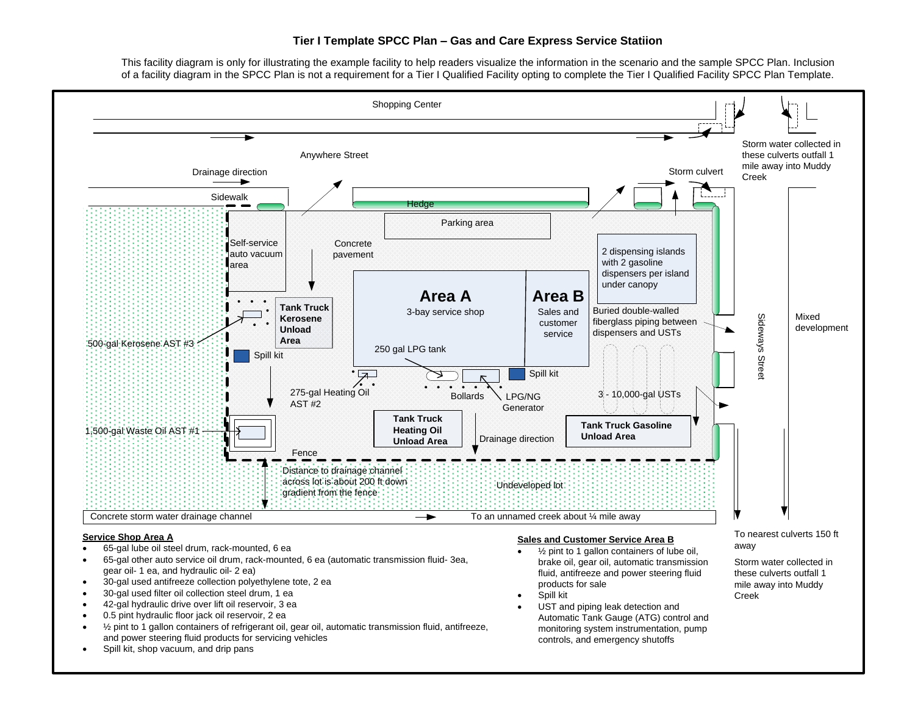#### **Tier I Template SPCC Plan – Gas and Care Express Service Statiion**

This facility diagram is only for illustrating the example facility to help readers visualize the information in the scenario and the sample SPCC Plan. Inclusion of a facility diagram in the SPCC Plan is not a requirement for a Tier I Qualified Facility opting to complete the Tier I Qualified Facility SPCC Plan Template.



Spill kit, shop vacuum, and drip pans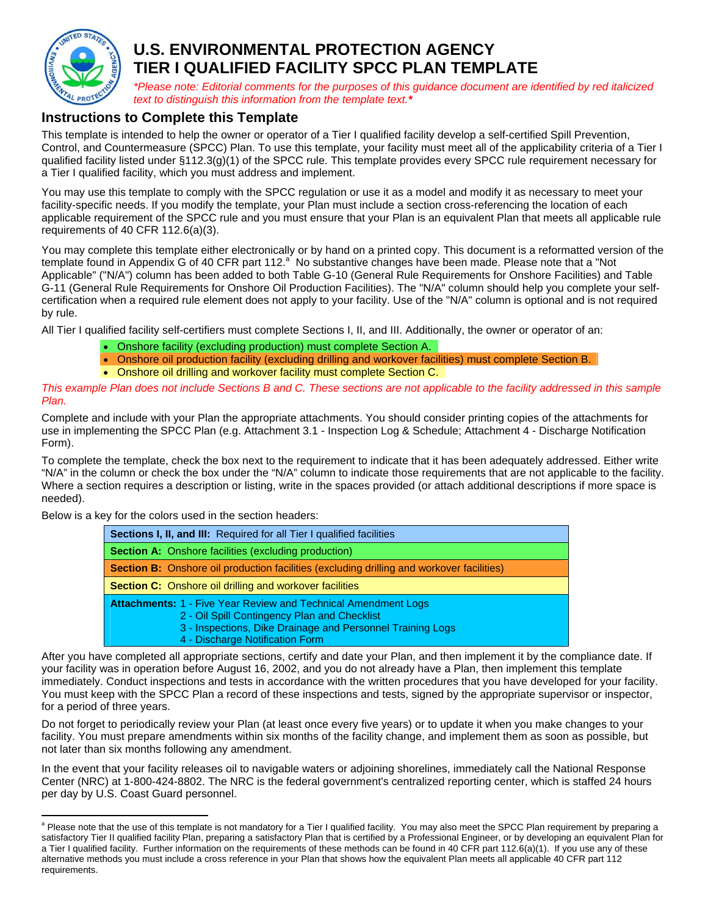

 $\overline{a}$ 

# **U.S. ENVIRONMENTAL PROTECTION AGENCY TIER I QUALIFIED FACILITY SPCC PLAN TEMPLATE**

*\*Please note: Editorial comments for the purposes of this guidance document are identified by red italicized text to distinguish this information from the template text.\** 

## **Instructions to Complete this Template**

This template is intended to help the owner or operator of a Tier I qualified facility develop a self-certified Spill Prevention, Control, and Countermeasure (SPCC) Plan. To use this template, your facility must meet all of the applicability criteria of a Tier I qualified facility listed under §112.3(g)(1) of the SPCC rule. This template provides every SPCC rule requirement necessary for a Tier I qualified facility, which you must address and implement.

You may use this template to comply with the SPCC regulation or use it as a model and modify it as necessary to meet your facility-specific needs. If you modify the template, your Plan must include a section cross-referencing the location of each applicable requirement of the SPCC rule and you must ensure that your Plan is an equivalent Plan that meets all applicable rule requirements of 40 CFR 112.6(a)(3).

You may complete this template either electronically or by hand on a printed copy. This document is a reformatted version of the template found in Appendix G of 40 CFR part 112.<sup>a'</sup> No substantive changes have been made. Please note that a "Not Applicable" ("N/A") column has been added to both Table G-10 (General Rule Requirements for Onshore Facilities) and Table G-11 (General Rule Requirements for Onshore Oil Production Facilities). The "N/A" column should help you complete your selfcertification when a required rule element does not apply to your facility. Use of the "N/A" column is optional and is not required by rule.

All Tier I qualified facility self-certifiers must complete Sections I, II, and III. Additionally, the owner or operator of an:

- Onshore facility (excluding production) must complete Section A.
- Onshore oil production facility (excluding drilling and workover facilities) must complete Section B.
- Onshore oil drilling and workover facility must complete Section C.

*This example Plan does not include Sections B and C. These sections are not applicable to the facility addressed in this sample Plan.* 

Complete and include with your Plan the appropriate attachments. You should consider printing copies of the attachments for use in implementing the SPCC Plan (e.g. Attachment 3.1 - Inspection Log & Schedule; Attachment 4 - Discharge Notification Form).

To complete the template, check the box next to the requirement to indicate that it has been adequately addressed. Either write "N/A" in the column or check the box under the "N/A" column to indicate those requirements that are not applicable to the facility. Where a section requires a description or listing, write in the spaces provided (or attach additional descriptions if more space is needed).

Below is a key for the colors used in the section headers:

| <b>Sections I, II, and III:</b> Required for all Tier I qualified facilities                                                                                                                                           |
|------------------------------------------------------------------------------------------------------------------------------------------------------------------------------------------------------------------------|
| <b>Section A:</b> Onshore facilities (excluding production)                                                                                                                                                            |
| <b>Section B:</b> Onshore oil production facilities (excluding drilling and workover facilities)                                                                                                                       |
| <b>Section C:</b> Onshore oil drilling and workover facilities                                                                                                                                                         |
| <b>Attachments: 1 - Five Year Review and Technical Amendment Logs</b><br>2 - Oil Spill Contingency Plan and Checklist<br>3 - Inspections, Dike Drainage and Personnel Training Logs<br>4 - Discharge Notification Form |

After you have completed all appropriate sections, certify and date your Plan, and then implement it by the compliance date. If your facility was in operation before August 16, 2002, and you do not already have a Plan, then implement this template immediately. Conduct inspections and tests in accordance with the written procedures that you have developed for your facility. You must keep with the SPCC Plan a record of these inspections and tests, signed by the appropriate supervisor or inspector, for a period of three years.

Do not forget to periodically review your Plan (at least once every five years) or to update it when you make changes to your facility. You must prepare amendments within six months of the facility change, and implement them as soon as possible, but not later than six months following any amendment.

In the event that your facility releases oil to navigable waters or adjoining shorelines, immediately call the National Response Center (NRC) at 1-800-424-8802. The NRC is the federal government's centralized reporting center, which is staffed 24 hours per day by U.S. Coast Guard personnel.

<sup>&</sup>lt;sup>a</sup> Please note that the use of this template is not mandatory for a Tier I qualified facility. You may also meet the SPCC Plan requirement by preparing a satisfactory Tier II qualified facility Plan, preparing a satisfactory Plan that is certified by a Professional Engineer, or by developing an equivalent Plan for a Tier I qualified facility. Further information on the requirements of these methods can be found in 40 CFR part 112.6(a)(1). If you use any of these alternative methods you must include a cross reference in your Plan that shows how the equivalent Plan meets all applicable 40 CFR part 112 requirements.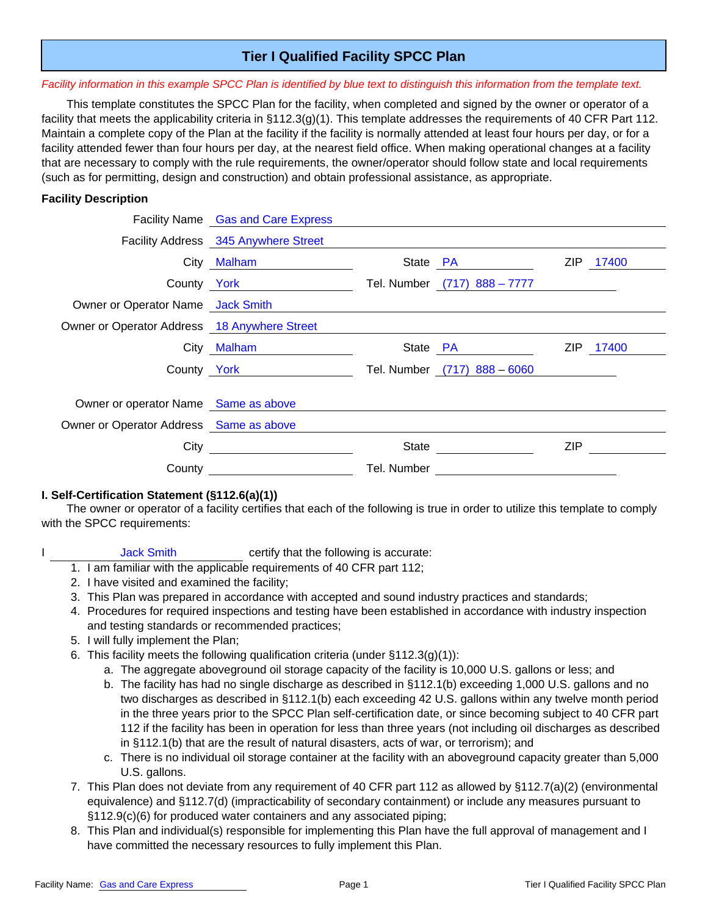## **Tier I Qualified Facility SPCC Plan**

#### *Facility information in this example SPCC Plan is identified by blue text to distinguish this information from the template text.*

This template constitutes the SPCC Plan for the facility, when completed and signed by the owner or operator of a facility that meets the applicability criteria in §112.3(g)(1). This template addresses the requirements of 40 CFR Part 112. Maintain a complete copy of the Plan at the facility if the facility is normally attended at least four hours per day, or for a facility attended fewer than four hours per day, at the nearest field office. When making operational changes at a facility that are necessary to comply with the rule requirements, the owner/operator should follow state and local requirements (such as for permitting, design and construction) and obtain professional assistance, as appropriate.

#### **Facility Description**

|                                              | Facility Name Gas and Care Express   |             |                              |            |           |
|----------------------------------------------|--------------------------------------|-------------|------------------------------|------------|-----------|
|                                              | Facility Address 345 Anywhere Street |             |                              |            |           |
|                                              | City Malham                          |             | State PA                     |            | ZIP 17400 |
|                                              | County York                          |             | Tel. Number (717) 888 - 7777 |            |           |
| Owner or Operator Name Jack Smith            |                                      |             |                              |            |           |
| Owner or Operator Address 18 Anywhere Street |                                      |             |                              |            |           |
|                                              | City Malham                          |             | State PA                     | ZIP        | 17400     |
| County York                                  |                                      |             | Tel. Number (717) 888 - 6060 |            |           |
| Owner or operator Name Same as above         |                                      |             |                              |            |           |
| Owner or Operator Address Same as above      |                                      |             |                              |            |           |
| City                                         |                                      | State       |                              | <b>ZIP</b> |           |
| County                                       |                                      | Tel. Number |                              |            |           |

#### **I. Self-Certification Statement (§112.6(a)(1))**

The owner or operator of a facility certifies that each of the following is true in order to utilize this template to comply with the SPCC requirements:

- I Jack Smith certify that the following is accurate:
	- 1. I am familiar with the applicable requirements of 40 CFR part 112;
	- 2. I have visited and examined the facility;
	- 3. This Plan was prepared in accordance with accepted and sound industry practices and standards;
	- 4. Procedures for required inspections and testing have been established in accordance with industry inspection and testing standards or recommended practices;
	- 5. I will fully implement the Plan;
	- 6. This facility meets the following qualification criteria (under  $\S112.3(g)(1)$ ):
		- a. The aggregate aboveground oil storage capacity of the facility is 10,000 U.S. gallons or less; and
		- b. The facility has had no single discharge as described in §112.1(b) exceeding 1,000 U.S. gallons and no two discharges as described in §112.1(b) each exceeding 42 U.S. gallons within any twelve month period in the three years prior to the SPCC Plan self-certification date, or since becoming subject to 40 CFR part 112 if the facility has been in operation for less than three years (not including oil discharges as described in §112.1(b) that are the result of natural disasters, acts of war, or terrorism); and
		- c. There is no individual oil storage container at the facility with an aboveground capacity greater than 5,000 U.S. gallons.
	- 7. This Plan does not deviate from any requirement of 40 CFR part 112 as allowed by §112.7(a)(2) (environmental equivalence) and §112.7(d) (impracticability of secondary containment) or include any measures pursuant to §112.9(c)(6) for produced water containers and any associated piping;
	- 8. This Plan and individual(s) responsible for implementing this Plan have the full approval of management and I have committed the necessary resources to fully implement this Plan.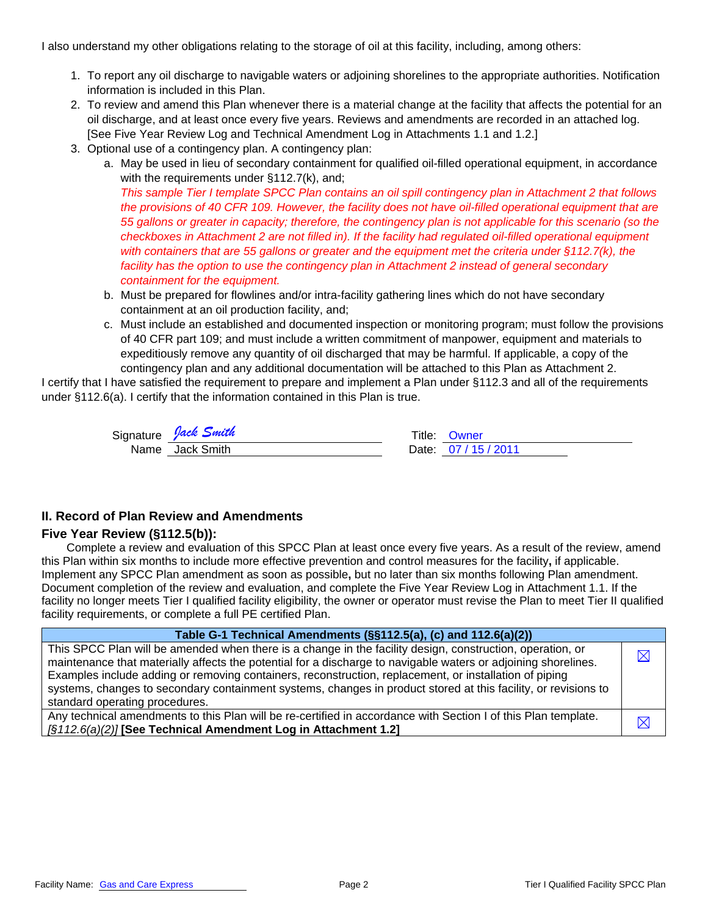I also understand my other obligations relating to the storage of oil at this facility, including, among others:

- 1. To report any oil discharge to navigable waters or adjoining shorelines to the appropriate authorities. Notification information is included in this Plan.
- 2. To review and amend this Plan whenever there is a material change at the facility that affects the potential for an oil discharge, and at least once every five years. Reviews and amendments are recorded in an attached log. [See Five Year Review Log and Technical Amendment Log in Attachments 1.1 and 1.2.]
- 3. Optional use of a contingency plan. A contingency plan:
	- a. May be used in lieu of secondary containment for qualified oil-filled operational equipment, in accordance with the requirements under §112.7(k), and;

*This sample Tier I template SPCC Plan contains an oil spill contingency plan in Attachment 2 that follows the provisions of 40 CFR 109. However, the facility does not have oil-filled operational equipment that are 55 gallons or greater in capacity; therefore, the contingency plan is not applicable for this scenario (so the checkboxes in Attachment 2 are not filled in). If the facility had regulated oil-filled operational equipment with containers that are 55 gallons or greater and the equipment met the criteria under §112.7(k), the*  facility has the option to use the contingency plan in Attachment 2 instead of general secondary *containment for the equipment.* 

- b. Must be prepared for flowlines and/or intra-facility gathering lines which do not have secondary containment at an oil production facility, and;
- c. Must include an established and documented inspection or monitoring program; must follow the provisions of 40 CFR part 109; and must include a written commitment of manpower, equipment and materials to expeditiously remove any quantity of oil discharged that may be harmful. If applicable, a copy of the contingency plan and any additional documentation will be attached to this Plan as Attachment 2.

I certify that I have satisfied the requirement to prepare and implement a Plan under §112.3 and all of the requirements under §112.6(a). I certify that the information contained in this Plan is true.

| Signature <i>Jack Smith</i> | Title: Owner     |
|-----------------------------|------------------|
| Name Jack Smith             | Date: 07/15/2011 |

| Title: Owner     |
|------------------|
| Date: 07/15/2011 |

#### **II. Record of Plan Review and Amendments**

#### **Five Year Review (§112.5(b)):**

Complete a review and evaluation of this SPCC Plan at least once every five years. As a result of the review, amend this Plan within six months to include more effective prevention and control measures for the facility**,** if applicable. Implement any SPCC Plan amendment as soon as possible**,** but no later than six months following Plan amendment. Document completion of the review and evaluation, and complete the Five Year Review Log in Attachment 1.1. If the facility no longer meets Tier I qualified facility eligibility, the owner or operator must revise the Plan to meet Tier II qualified facility requirements, or complete a full PE certified Plan.

| Table G-1 Technical Amendments (§§112.5(a), (c) and 112.6(a)(2))                                                                                                                                                                                                                                                                                                                                                                                                                          |           |  |
|-------------------------------------------------------------------------------------------------------------------------------------------------------------------------------------------------------------------------------------------------------------------------------------------------------------------------------------------------------------------------------------------------------------------------------------------------------------------------------------------|-----------|--|
| This SPCC Plan will be amended when there is a change in the facility design, construction, operation, or<br>maintenance that materially affects the potential for a discharge to navigable waters or adjoining shorelines.<br>Examples include adding or removing containers, reconstruction, replacement, or installation of piping<br>systems, changes to secondary containment systems, changes in product stored at this facility, or revisions to<br>standard operating procedures. | $\bowtie$ |  |
| Any technical amendments to this Plan will be re-certified in accordance with Section I of this Plan template.<br>[§112.6(a)(2)] [See Technical Amendment Log in Attachment 1.2]                                                                                                                                                                                                                                                                                                          | $\bowtie$ |  |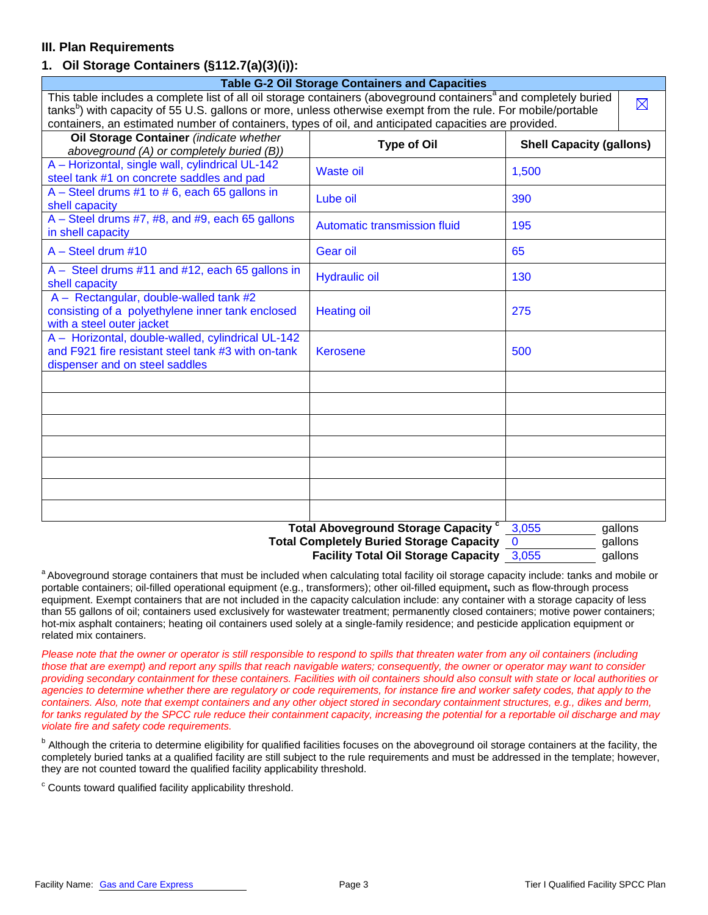## **III. Plan Requirements**

### **1. Oil Storage Containers (§112.7(a)(3)(i)):**

| <b>Table G-2 Oil Storage Containers and Capacities</b>                                                                                    |                                             |                                 |             |  |  |
|-------------------------------------------------------------------------------------------------------------------------------------------|---------------------------------------------|---------------------------------|-------------|--|--|
| This table includes a complete list of all oil storage containers (aboveground containers <sup>a</sup> and completely buried              |                                             |                                 | $\boxtimes$ |  |  |
| tanks <sup>b</sup> ) with capacity of 55 U.S. gallons or more, unless otherwise exempt from the rule. For mobile/portable                 |                                             |                                 |             |  |  |
| containers, an estimated number of containers, types of oil, and anticipated capacities are provided.                                     |                                             |                                 |             |  |  |
| Oil Storage Container (indicate whether<br>aboveground (A) or completely buried (B))                                                      | <b>Type of Oil</b>                          | <b>Shell Capacity (gallons)</b> |             |  |  |
| A - Horizontal, single wall, cylindrical UL-142<br>steel tank #1 on concrete saddles and pad                                              | <b>Waste oil</b>                            | 1,500                           |             |  |  |
| $A - Steel$ drums #1 to #6, each 65 gallons in<br>shell capacity                                                                          | Lube oil                                    | 390                             |             |  |  |
| A - Steel drums #7, #8, and #9, each 65 gallons<br>in shell capacity                                                                      | Automatic transmission fluid                | 195                             |             |  |  |
| $A - Steel$ drum #10                                                                                                                      | Gear oil                                    | 65                              |             |  |  |
| A - Steel drums #11 and #12, each 65 gallons in<br>shell capacity                                                                         | <b>Hydraulic oil</b>                        | 130                             |             |  |  |
| A - Rectangular, double-walled tank #2<br>consisting of a polyethylene inner tank enclosed<br>with a steel outer jacket                   | <b>Heating oil</b>                          | 275                             |             |  |  |
| A - Horizontal, double-walled, cylindrical UL-142<br>and F921 fire resistant steel tank #3 with on-tank<br>dispenser and on steel saddles | <b>Kerosene</b>                             | 500                             |             |  |  |
|                                                                                                                                           |                                             |                                 |             |  |  |
|                                                                                                                                           |                                             |                                 |             |  |  |
|                                                                                                                                           |                                             |                                 |             |  |  |
|                                                                                                                                           |                                             |                                 |             |  |  |
|                                                                                                                                           |                                             |                                 |             |  |  |
|                                                                                                                                           |                                             |                                 |             |  |  |
|                                                                                                                                           |                                             |                                 |             |  |  |
|                                                                                                                                           | <b>Total Aboveground Storage Capacity "</b> | 3,055                           | gallons     |  |  |
| Total Completely Buried Storage Capacity 0<br>gallons                                                                                     |                                             |                                 |             |  |  |

**Facility Total Oil Storage Capacity** 3,055 gallons

a Aboveground storage containers that must be included when calculating total facility oil storage capacity include: tanks and mobile or portable containers; oil-filled operational equipment (e.g., transformers); other oil-filled equipment**,** such as flow-through process equipment. Exempt containers that are not included in the capacity calculation include: any container with a storage capacity of less than 55 gallons of oil; containers used exclusively for wastewater treatment; permanently closed containers; motive power containers; hot-mix asphalt containers; heating oil containers used solely at a single-family residence; and pesticide application equipment or related mix containers.

*Please note that the owner or operator is still responsible to respond to spills that threaten water from any oil containers (including*  those that are exempt) and report any spills that reach navigable waters; consequently, the owner or operator may want to consider *providing secondary containment for these containers. Facilities with oil containers should also consult with state or local authorities or agencies to determine whether there are regulatory or code requirements, for instance fire and worker safety codes, that apply to the containers. Also, note that exempt containers and any other object stored in secondary containment structures, e.g., dikes and berm, for tanks regulated by the SPCC rule reduce their containment capacity, increasing the potential for a reportable oil discharge and may violate fire and safety code requirements.* 

<sup>b</sup> Although the criteria to determine eligibility for qualified facilities focuses on the aboveground oil storage containers at the facility, the completely buried tanks at a qualified facility are still subject to the rule requirements and must be addressed in the template; however, they are not counted toward the qualified facility applicability threshold.

 $\textdegree$  Counts toward qualified facility applicability threshold.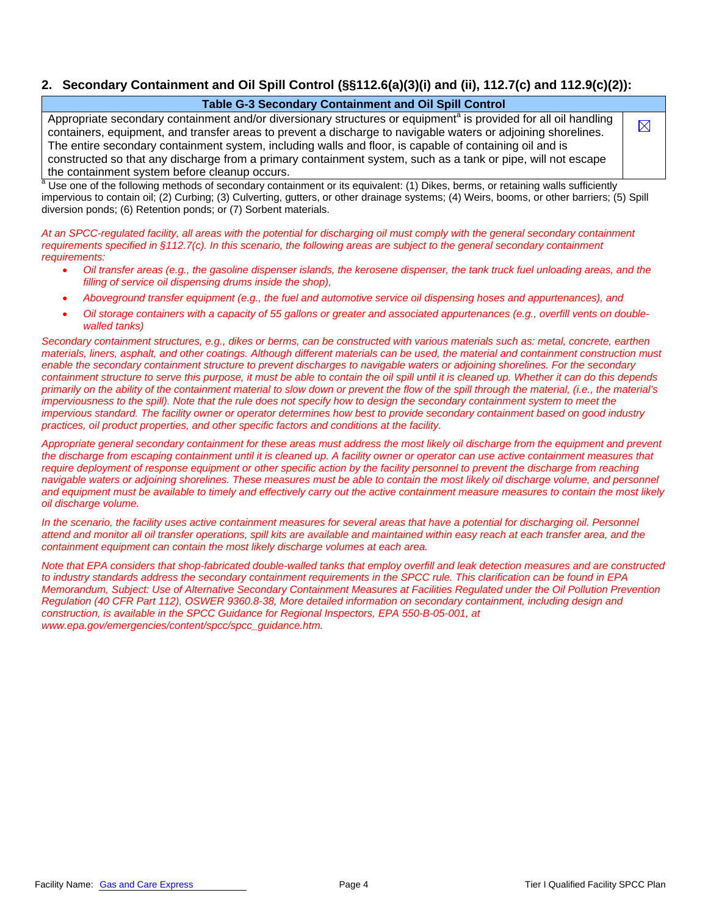## **2. Secondary Containment and Oil Spill Control (§§112.6(a)(3)(i) and (ii), 112.7(c) and 112.9(c)(2)):**

#### **Table G-3 Secondary Containment and Oil Spill Control**

Appropriate secondary containment and/or diversionary structures or equipment<sup>a</sup> is provided for all oil handling containers, equipment, and transfer areas to prevent a discharge to navigable waters or adjoining shorelines. The entire secondary containment system, including walls and floor, is capable of containing oil and is constructed so that any discharge from a primary containment system, such as a tank or pipe, will not escape the containment system before cleanup occurs.

a Use one of the following methods of secondary containment or its equivalent: (1) Dikes, berms, or retaining walls sufficiently impervious to contain oil; (2) Curbing; (3) Culverting, gutters, or other drainage systems; (4) Weirs, booms, or other barriers; (5) Spill diversion ponds; (6) Retention ponds; or (7) Sorbent materials.

*At an SPCC-regulated facility, all areas with the potential for discharging oil must comply with the general secondary containment requirements specified in §112.7(c). In this scenario, the following areas are subject to the general secondary containment requirements:* 

- *Oil transfer areas (e.g., the gasoline dispenser islands, the kerosene dispenser, the tank truck fuel unloading areas, and the filling of service oil dispensing drums inside the shop),*
- *Aboveground transfer equipment (e.g., the fuel and automotive service oil dispensing hoses and appurtenances), and*
- *Oil storage containers with a capacity of 55 gallons or greater and associated appurtenances (e.g., overfill vents on doublewalled tanks)*

*Secondary containment structures, e.g., dikes or berms, can be constructed with various materials such as: metal, concrete, earthen materials, liners, asphalt, and other coatings. Although different materials can be used, the material and containment construction must enable the secondary containment structure to prevent discharges to navigable waters or adjoining shorelines. For the secondary containment structure to serve this purpose, it must be able to contain the oil spill until it is cleaned up. Whether it can do this depends primarily on the ability of the containment material to slow down or prevent the flow of the spill through the material, (i.e., the material's*  imperviousness to the spill). Note that the rule does not specify how to design the secondary containment system to meet the *impervious standard. The facility owner or operator determines how best to provide secondary containment based on good industry practices, oil product properties, and other specific factors and conditions at the facility.* 

*Appropriate general secondary containment for these areas must address the most likely oil discharge from the equipment and prevent the discharge from escaping containment until it is cleaned up. A facility owner or operator can use active containment measures that require deployment of response equipment or other specific action by the facility personnel to prevent the discharge from reaching navigable waters or adjoining shorelines. These measures must be able to contain the most likely oil discharge volume, and personnel and equipment must be available to timely and effectively carry out the active containment measure measures to contain the most likely oil discharge volume.* 

*In the scenario, the facility uses active containment measures for several areas that have a potential for discharging oil. Personnel attend and monitor all oil transfer operations, spill kits are available and maintained within easy reach at each transfer area, and the containment equipment can contain the most likely discharge volumes at each area.* 

*Note that EPA considers that shop-fabricated double-walled tanks that employ overfill and leak detection measures and are constructed to industry standards address the secondary containment requirements in the SPCC rule. This clarification can be found in EPA Memorandum, Subject: Use of Alternative Secondary Containment Measures at Facilities Regulated under the Oil Pollution Prevention Regulation (40 CFR Part 112), OSWER 9360.8-38, More detailed information on secondary containment, including design and construction, is available in the SPCC Guidance for Regional Inspectors, EPA 550-B-05-001, at www.epa.gov/emergencies/content/spcc/spcc\_guidance.htm.* 

Facility Name: Gas and Care Express The Magnus Care Care Care Care Care Page 4 Tier I Qualified Facility SPCC Plan

 $\boxtimes$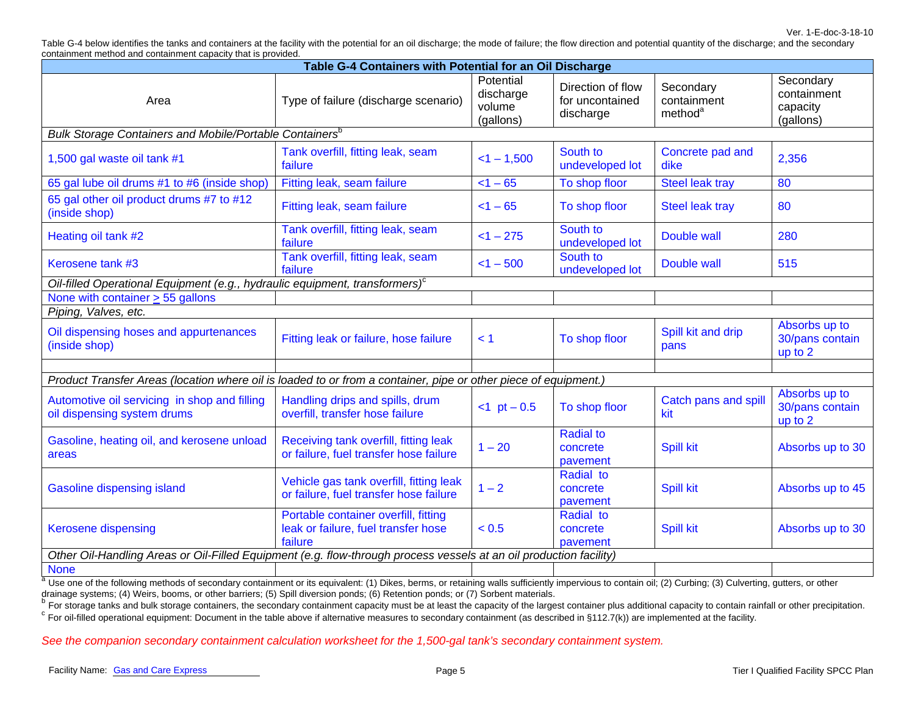Ver. 1-E-doc-3-18-10 Table G-4 below identifies the tanks and containers at the facility with the potential for an oil discharge; the mode of failure; the flow direction and potential quantity of the discharge; and the secondary containment method and containment capacity that is provided.

| Table G-4 Containers with Potential for an Oil Discharge                                                           |                                                                                        |                                               |                                                   |                                                 |                                                   |  |
|--------------------------------------------------------------------------------------------------------------------|----------------------------------------------------------------------------------------|-----------------------------------------------|---------------------------------------------------|-------------------------------------------------|---------------------------------------------------|--|
| Area                                                                                                               | Type of failure (discharge scenario)                                                   | Potential<br>discharge<br>volume<br>(gallons) | Direction of flow<br>for uncontained<br>discharge | Secondary<br>containment<br>method <sup>a</sup> | Secondary<br>containment<br>capacity<br>(gallons) |  |
| Bulk Storage Containers and Mobile/Portable Containers <sup>b</sup>                                                |                                                                                        |                                               |                                                   |                                                 |                                                   |  |
| 1,500 gal waste oil tank #1                                                                                        | Tank overfill, fitting leak, seam<br>failure                                           | $<$ 1 - 1,500                                 | South to<br>undeveloped lot                       | Concrete pad and<br>dike                        | 2,356                                             |  |
| 65 gal lube oil drums #1 to #6 (inside shop)                                                                       | Fitting leak, seam failure                                                             | $< 1 - 65$                                    | To shop floor                                     | Steel leak tray                                 | $\overline{80}$                                   |  |
| 65 gal other oil product drums #7 to #12<br>(inside shop)                                                          | Fitting leak, seam failure                                                             | $< 1 - 65$                                    | To shop floor                                     | <b>Steel leak tray</b>                          | 80                                                |  |
| Heating oil tank #2                                                                                                | Tank overfill, fitting leak, seam<br>failure                                           | $<1 - 275$                                    | South to<br>undeveloped lot                       | Double wall                                     | 280                                               |  |
| Kerosene tank #3                                                                                                   | Tank overfill, fitting leak, seam<br>failure                                           | $<$ 1 - 500                                   | South to<br>undeveloped lot                       | Double wall                                     | 515                                               |  |
| Oil-filled Operational Equipment (e.g., hydraulic equipment, transformers) <sup>c</sup>                            |                                                                                        |                                               |                                                   |                                                 |                                                   |  |
| None with container $\geq$ 55 gallons                                                                              |                                                                                        |                                               |                                                   |                                                 |                                                   |  |
| Piping, Valves, etc.                                                                                               |                                                                                        |                                               |                                                   |                                                 |                                                   |  |
| Oil dispensing hoses and appurtenances<br>(inside shop)                                                            | Fitting leak or failure, hose failure                                                  | < 1                                           | To shop floor                                     | Spill kit and drip<br>pans                      | Absorbs up to<br>30/pans contain<br>up to 2       |  |
|                                                                                                                    |                                                                                        |                                               |                                                   |                                                 |                                                   |  |
| Product Transfer Areas (location where oil is loaded to or from a container, pipe or other piece of equipment.)    |                                                                                        |                                               |                                                   |                                                 |                                                   |  |
| Automotive oil servicing in shop and filling<br>oil dispensing system drums                                        | Handling drips and spills, drum<br>overfill, transfer hose failure                     | $-1$ pt $-0.5$                                | To shop floor                                     | Catch pans and spill<br>kit                     | Absorbs up to<br>30/pans contain<br>up to 2       |  |
| Gasoline, heating oil, and kerosene unload<br>areas                                                                | Receiving tank overfill, fitting leak<br>or failure, fuel transfer hose failure        | $1 - 20$                                      | <b>Radial to</b><br>concrete<br>pavement          | <b>Spill kit</b>                                | Absorbs up to 30                                  |  |
| <b>Gasoline dispensing island</b>                                                                                  | Vehicle gas tank overfill, fitting leak<br>or failure, fuel transfer hose failure      | $1 - 2$                                       | Radial to<br>concrete<br>pavement                 | <b>Spill kit</b>                                | Absorbs up to 45                                  |  |
| Kerosene dispensing                                                                                                | Portable container overfill, fitting<br>leak or failure, fuel transfer hose<br>failure | < 0.5                                         | Radial to<br>concrete<br>pavement                 | <b>Spill kit</b>                                | Absorbs up to 30                                  |  |
| Other Oil-Handling Areas or Oil-Filled Equipment (e.g. flow-through process vessels at an oil production facility) |                                                                                        |                                               |                                                   |                                                 |                                                   |  |
| <b>None</b>                                                                                                        |                                                                                        |                                               |                                                   |                                                 |                                                   |  |

 $^a$  Use one of the following methods of secondary containment or its equivalent: (1) Dikes, berms, or retaining walls sufficiently impervious to contain oil; (2) Curbing; (3) Culverting, gutters, or other drainage systems; (4) Weirs, booms, or other barriers; (5) Spill diversion ponds; (6) Retention ponds; or (7) Sorbent materials.

Brandage eyetcoms, we contain the secondary containment capacity must be at least the capacity of the largest container plus additional capacity to contain rainfall or other precipitation.

 $\textdegree$  For oil-filled operational equipment: Document in the table above if alternative measures to secondary containment (as described in §112.7(k)) are implemented at the facility.

*See the companion secondary containment calculation worksheet for the 1,500-gal tank's secondary containment system.*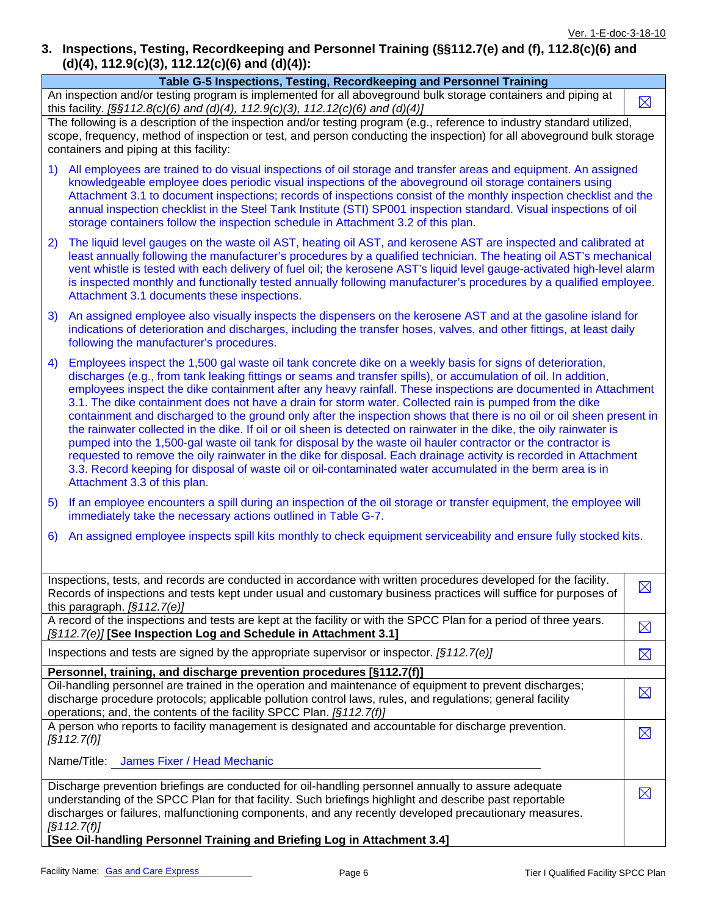## **3. Inspections, Testing, Recordkeeping and Personnel Training (§§112.7(e) and (f), 112.8(c)(6) and (d)(4), 112.9(c)(3), 112.12(c)(6) and (d)(4)):**

|                                                                                                                                                                                                                                                                                                                                                                                                                                                                                                                                                                                                                                                                                                                                                                                                                                                                                                                                                                                                                                                                                                         | $(0, 4)$ , 112.9 $(C)(3)$ , 112.12 $(C)(6)$ and $(0)(4)$ ):                                                                                                                                                                                                                                                                                                                                                                                                                                                                                                       |             |  |  |  |
|---------------------------------------------------------------------------------------------------------------------------------------------------------------------------------------------------------------------------------------------------------------------------------------------------------------------------------------------------------------------------------------------------------------------------------------------------------------------------------------------------------------------------------------------------------------------------------------------------------------------------------------------------------------------------------------------------------------------------------------------------------------------------------------------------------------------------------------------------------------------------------------------------------------------------------------------------------------------------------------------------------------------------------------------------------------------------------------------------------|-------------------------------------------------------------------------------------------------------------------------------------------------------------------------------------------------------------------------------------------------------------------------------------------------------------------------------------------------------------------------------------------------------------------------------------------------------------------------------------------------------------------------------------------------------------------|-------------|--|--|--|
|                                                                                                                                                                                                                                                                                                                                                                                                                                                                                                                                                                                                                                                                                                                                                                                                                                                                                                                                                                                                                                                                                                         | Table G-5 Inspections, Testing, Recordkeeping and Personnel Training                                                                                                                                                                                                                                                                                                                                                                                                                                                                                              |             |  |  |  |
|                                                                                                                                                                                                                                                                                                                                                                                                                                                                                                                                                                                                                                                                                                                                                                                                                                                                                                                                                                                                                                                                                                         | An inspection and/or testing program is implemented for all aboveground bulk storage containers and piping at<br>this facility. [§§112.8(c)(6) and (d)(4), 112.9(c)(3), 112.12(c)(6) and (d)(4)]                                                                                                                                                                                                                                                                                                                                                                  | $\boxtimes$ |  |  |  |
|                                                                                                                                                                                                                                                                                                                                                                                                                                                                                                                                                                                                                                                                                                                                                                                                                                                                                                                                                                                                                                                                                                         | The following is a description of the inspection and/or testing program (e.g., reference to industry standard utilized,<br>scope, frequency, method of inspection or test, and person conducting the inspection) for all aboveground bulk storage<br>containers and piping at this facility:                                                                                                                                                                                                                                                                      |             |  |  |  |
|                                                                                                                                                                                                                                                                                                                                                                                                                                                                                                                                                                                                                                                                                                                                                                                                                                                                                                                                                                                                                                                                                                         | All employees are trained to do visual inspections of oil storage and transfer areas and equipment. An assigned<br>1)<br>knowledgeable employee does periodic visual inspections of the aboveground oil storage containers using<br>Attachment 3.1 to document inspections; records of inspections consist of the monthly inspection checklist and the<br>annual inspection checklist in the Steel Tank Institute (STI) SP001 inspection standard. Visual inspections of oil<br>storage containers follow the inspection schedule in Attachment 3.2 of this plan. |             |  |  |  |
| 2)                                                                                                                                                                                                                                                                                                                                                                                                                                                                                                                                                                                                                                                                                                                                                                                                                                                                                                                                                                                                                                                                                                      | The liquid level gauges on the waste oil AST, heating oil AST, and kerosene AST are inspected and calibrated at<br>least annually following the manufacturer's procedures by a qualified technician. The heating oil AST's mechanical<br>vent whistle is tested with each delivery of fuel oil; the kerosene AST's liquid level gauge-activated high-level alarm<br>is inspected monthly and functionally tested annually following manufacturer's procedures by a qualified employee.<br>Attachment 3.1 documents these inspections.                             |             |  |  |  |
| 3)                                                                                                                                                                                                                                                                                                                                                                                                                                                                                                                                                                                                                                                                                                                                                                                                                                                                                                                                                                                                                                                                                                      | An assigned employee also visually inspects the dispensers on the kerosene AST and at the gasoline island for<br>indications of deterioration and discharges, including the transfer hoses, valves, and other fittings, at least daily<br>following the manufacturer's procedures.                                                                                                                                                                                                                                                                                |             |  |  |  |
| Employees inspect the 1,500 gal waste oil tank concrete dike on a weekly basis for signs of deterioration,<br>4)<br>discharges (e.g., from tank leaking fittings or seams and transfer spills), or accumulation of oil. In addition,<br>employees inspect the dike containment after any heavy rainfall. These inspections are documented in Attachment<br>3.1. The dike containment does not have a drain for storm water. Collected rain is pumped from the dike<br>containment and discharged to the ground only after the inspection shows that there is no oil or oil sheen present in<br>the rainwater collected in the dike. If oil or oil sheen is detected on rainwater in the dike, the oily rainwater is<br>pumped into the 1,500-gal waste oil tank for disposal by the waste oil hauler contractor or the contractor is<br>requested to remove the oily rainwater in the dike for disposal. Each drainage activity is recorded in Attachment<br>3.3. Record keeping for disposal of waste oil or oil-contaminated water accumulated in the berm area is in<br>Attachment 3.3 of this plan. |                                                                                                                                                                                                                                                                                                                                                                                                                                                                                                                                                                   |             |  |  |  |
| 5)                                                                                                                                                                                                                                                                                                                                                                                                                                                                                                                                                                                                                                                                                                                                                                                                                                                                                                                                                                                                                                                                                                      | If an employee encounters a spill during an inspection of the oil storage or transfer equipment, the employee will<br>immediately take the necessary actions outlined in Table G-7.                                                                                                                                                                                                                                                                                                                                                                               |             |  |  |  |
| 6)                                                                                                                                                                                                                                                                                                                                                                                                                                                                                                                                                                                                                                                                                                                                                                                                                                                                                                                                                                                                                                                                                                      | An assigned employee inspects spill kits monthly to check equipment serviceability and ensure fully stocked kits.                                                                                                                                                                                                                                                                                                                                                                                                                                                 |             |  |  |  |
|                                                                                                                                                                                                                                                                                                                                                                                                                                                                                                                                                                                                                                                                                                                                                                                                                                                                                                                                                                                                                                                                                                         | Inspections, tests, and records are conducted in accordance with written procedures developed for the facility.                                                                                                                                                                                                                                                                                                                                                                                                                                                   |             |  |  |  |
|                                                                                                                                                                                                                                                                                                                                                                                                                                                                                                                                                                                                                                                                                                                                                                                                                                                                                                                                                                                                                                                                                                         | Records of inspections and tests kept under usual and customary business practices will suffice for purposes of<br>this paragraph. $[§112.7(e)]$                                                                                                                                                                                                                                                                                                                                                                                                                  | $\boxtimes$ |  |  |  |
|                                                                                                                                                                                                                                                                                                                                                                                                                                                                                                                                                                                                                                                                                                                                                                                                                                                                                                                                                                                                                                                                                                         | A record of the inspections and tests are kept at the facility or with the SPCC Plan for a period of three years.<br>[§112.7(e)] [See Inspection Log and Schedule in Attachment 3.1]                                                                                                                                                                                                                                                                                                                                                                              | $\boxtimes$ |  |  |  |
|                                                                                                                                                                                                                                                                                                                                                                                                                                                                                                                                                                                                                                                                                                                                                                                                                                                                                                                                                                                                                                                                                                         | Inspections and tests are signed by the appropriate supervisor or inspector. $\sqrt{(3112.7(e))}$                                                                                                                                                                                                                                                                                                                                                                                                                                                                 | $\boxtimes$ |  |  |  |
|                                                                                                                                                                                                                                                                                                                                                                                                                                                                                                                                                                                                                                                                                                                                                                                                                                                                                                                                                                                                                                                                                                         | Personnel, training, and discharge prevention procedures [§112.7(f)]                                                                                                                                                                                                                                                                                                                                                                                                                                                                                              |             |  |  |  |
|                                                                                                                                                                                                                                                                                                                                                                                                                                                                                                                                                                                                                                                                                                                                                                                                                                                                                                                                                                                                                                                                                                         | Oil-handling personnel are trained in the operation and maintenance of equipment to prevent discharges;<br>discharge procedure protocols; applicable pollution control laws, rules, and regulations; general facility<br>operations; and, the contents of the facility SPCC Plan. [§112.7(f)]                                                                                                                                                                                                                                                                     | $\boxtimes$ |  |  |  |
|                                                                                                                                                                                                                                                                                                                                                                                                                                                                                                                                                                                                                                                                                                                                                                                                                                                                                                                                                                                                                                                                                                         | A person who reports to facility management is designated and accountable for discharge prevention.                                                                                                                                                                                                                                                                                                                                                                                                                                                               | $\boxtimes$ |  |  |  |
|                                                                                                                                                                                                                                                                                                                                                                                                                                                                                                                                                                                                                                                                                                                                                                                                                                                                                                                                                                                                                                                                                                         | $\sqrt{3112.7(f)}$<br>Name/Title: James Fixer / Head Mechanic                                                                                                                                                                                                                                                                                                                                                                                                                                                                                                     |             |  |  |  |
|                                                                                                                                                                                                                                                                                                                                                                                                                                                                                                                                                                                                                                                                                                                                                                                                                                                                                                                                                                                                                                                                                                         | Discharge prevention briefings are conducted for oil-handling personnel annually to assure adequate<br>understanding of the SPCC Plan for that facility. Such briefings highlight and describe past reportable<br>discharges or failures, malfunctioning components, and any recently developed precautionary measures.<br>$\sqrt{3112.7(f)}$<br>[See Oil-handling Personnel Training and Briefing Log in Attachment 3.4]                                                                                                                                         | $\boxtimes$ |  |  |  |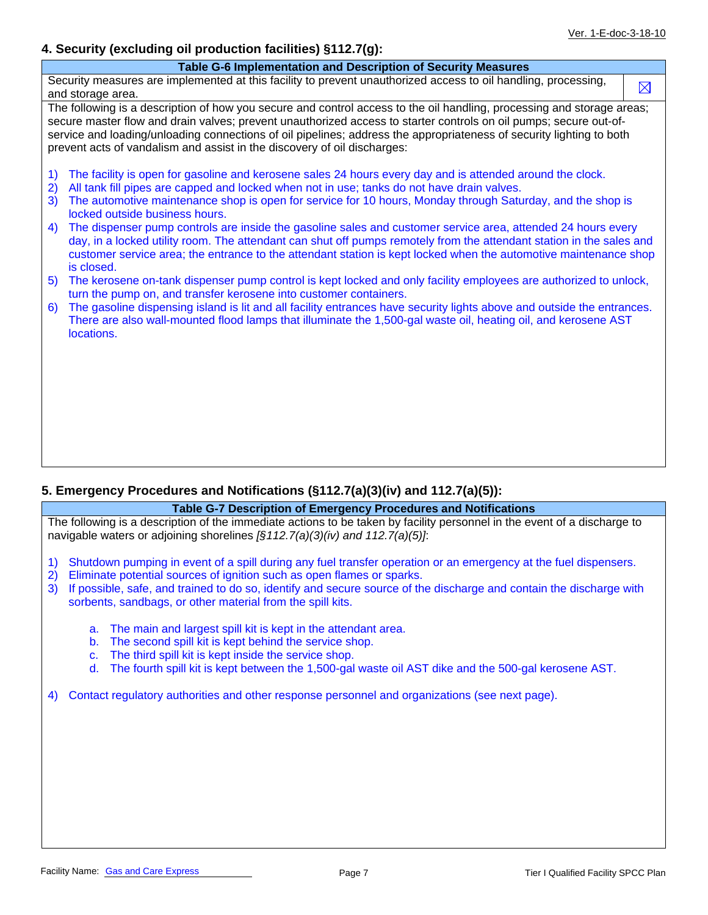### **4. Security (excluding oil production facilities) §112.7(g):**

| Table G-6 Implementation and Description of Security Measures                                                                                                                                                                                  |             |
|------------------------------------------------------------------------------------------------------------------------------------------------------------------------------------------------------------------------------------------------|-------------|
| Security measures are implemented at this facility to prevent unauthorized access to oil handling, processing,                                                                                                                                 | $\boxtimes$ |
| and storage area.                                                                                                                                                                                                                              |             |
| The following is a description of how you secure and control access to the oil handling, processing and storage areas;                                                                                                                         |             |
| secure master flow and drain valves; prevent unauthorized access to starter controls on oil pumps; secure out-of-                                                                                                                              |             |
| service and loading/unloading connections of oil pipelines; address the appropriateness of security lighting to both                                                                                                                           |             |
| prevent acts of vandalism and assist in the discovery of oil discharges:                                                                                                                                                                       |             |
| The facility is open for gasoline and kerosene sales 24 hours every day and is attended around the clock.<br>$\left( \begin{matrix} 1 \end{matrix} \right)$                                                                                    |             |
| 2)<br>All tank fill pipes are capped and locked when not in use; tanks do not have drain valves.                                                                                                                                               |             |
| 3)<br>The automotive maintenance shop is open for service for 10 hours, Monday through Saturday, and the shop is<br>locked outside business hours.                                                                                             |             |
| The dispenser pump controls are inside the gasoline sales and customer service area, attended 24 hours every<br>4)                                                                                                                             |             |
| day, in a locked utility room. The attendant can shut off pumps remotely from the attendant station in the sales and                                                                                                                           |             |
| customer service area; the entrance to the attendant station is kept locked when the automotive maintenance shop                                                                                                                               |             |
| is closed.                                                                                                                                                                                                                                     |             |
| The kerosene on-tank dispenser pump control is kept locked and only facility employees are authorized to unlock,<br>5)                                                                                                                         |             |
| turn the pump on, and transfer kerosene into customer containers.                                                                                                                                                                              |             |
| The gasoline dispensing island is lit and all facility entrances have security lights above and outside the entrances.<br>6)<br>There are also wall-mounted flood lamps that illuminate the 1,500-gal waste oil, heating oil, and kerosene AST |             |
| locations.                                                                                                                                                                                                                                     |             |
|                                                                                                                                                                                                                                                |             |
|                                                                                                                                                                                                                                                |             |
|                                                                                                                                                                                                                                                |             |
|                                                                                                                                                                                                                                                |             |
|                                                                                                                                                                                                                                                |             |
|                                                                                                                                                                                                                                                |             |
|                                                                                                                                                                                                                                                |             |
|                                                                                                                                                                                                                                                |             |

#### **5. Emergency Procedures and Notifications (§112.7(a)(3)(iv) and 112.7(a)(5)):**

#### **Table G-7 Description of Emergency Procedures and Notifications**

The following is a description of the immediate actions to be taken by facility personnel in the event of a discharge to navigable waters or adjoining shorelines *[§112.7(a)(3)(iv) and 112.7(a)(5)]*:

- 1) Shutdown pumping in event of a spill during any fuel transfer operation or an emergency at the fuel dispensers.
- 2) Eliminate potential sources of ignition such as open flames or sparks.
- 3) If possible, safe, and trained to do so, identify and secure source of the discharge and contain the discharge with sorbents, sandbags, or other material from the spill kits.
	- a. The main and largest spill kit is kept in the attendant area.
	- b. The second spill kit is kept behind the service shop.
	- c. The third spill kit is kept inside the service shop.
	- d. The fourth spill kit is kept between the 1,500-gal waste oil AST dike and the 500-gal kerosene AST.

4) Contact regulatory authorities and other response personnel and organizations (see next page).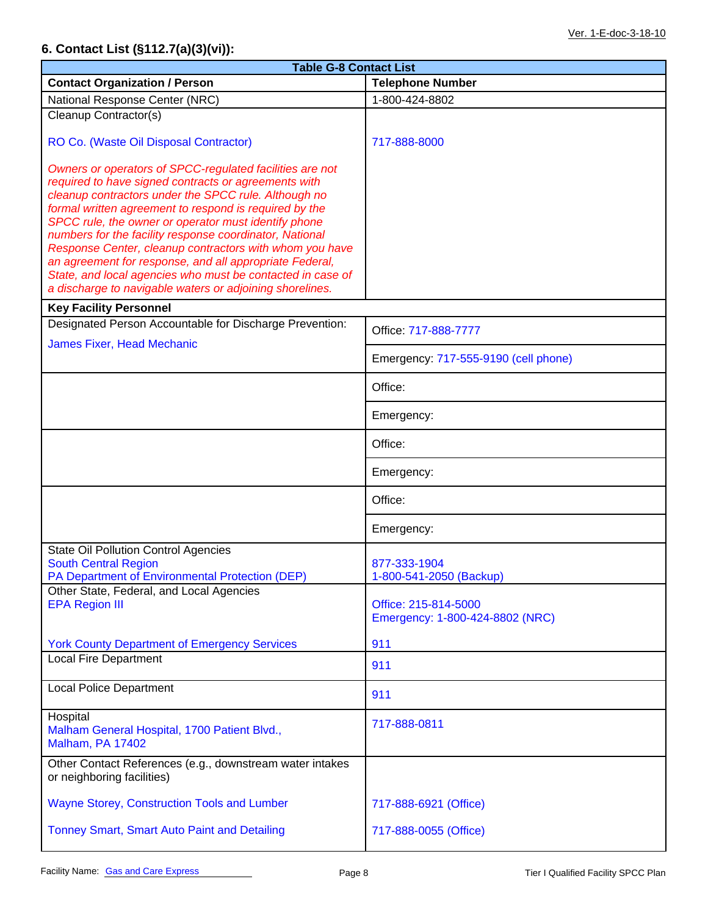## **6. Contact List (§112.7(a)(3)(vi)):**

| <b>Table G-8 Contact List</b>                                                                                                                                                                                                                                                                                                                                                                                                                                                                                                                                                                         |                                                         |  |  |  |  |
|-------------------------------------------------------------------------------------------------------------------------------------------------------------------------------------------------------------------------------------------------------------------------------------------------------------------------------------------------------------------------------------------------------------------------------------------------------------------------------------------------------------------------------------------------------------------------------------------------------|---------------------------------------------------------|--|--|--|--|
| <b>Contact Organization / Person</b>                                                                                                                                                                                                                                                                                                                                                                                                                                                                                                                                                                  | <b>Telephone Number</b>                                 |  |  |  |  |
| National Response Center (NRC)                                                                                                                                                                                                                                                                                                                                                                                                                                                                                                                                                                        | 1-800-424-8802                                          |  |  |  |  |
| Cleanup Contractor(s)                                                                                                                                                                                                                                                                                                                                                                                                                                                                                                                                                                                 |                                                         |  |  |  |  |
| RO Co. (Waste Oil Disposal Contractor)                                                                                                                                                                                                                                                                                                                                                                                                                                                                                                                                                                | 717-888-8000                                            |  |  |  |  |
| Owners or operators of SPCC-regulated facilities are not<br>required to have signed contracts or agreements with<br>cleanup contractors under the SPCC rule. Although no<br>formal written agreement to respond is required by the<br>SPCC rule, the owner or operator must identify phone<br>numbers for the facility response coordinator, National<br>Response Center, cleanup contractors with whom you have<br>an agreement for response, and all appropriate Federal,<br>State, and local agencies who must be contacted in case of<br>a discharge to navigable waters or adjoining shorelines. |                                                         |  |  |  |  |
| <b>Key Facility Personnel</b><br>Designated Person Accountable for Discharge Prevention:                                                                                                                                                                                                                                                                                                                                                                                                                                                                                                              |                                                         |  |  |  |  |
| <b>James Fixer, Head Mechanic</b>                                                                                                                                                                                                                                                                                                                                                                                                                                                                                                                                                                     | Office: 717-888-7777                                    |  |  |  |  |
|                                                                                                                                                                                                                                                                                                                                                                                                                                                                                                                                                                                                       | Emergency: 717-555-9190 (cell phone)                    |  |  |  |  |
|                                                                                                                                                                                                                                                                                                                                                                                                                                                                                                                                                                                                       | Office:                                                 |  |  |  |  |
|                                                                                                                                                                                                                                                                                                                                                                                                                                                                                                                                                                                                       | Emergency:                                              |  |  |  |  |
|                                                                                                                                                                                                                                                                                                                                                                                                                                                                                                                                                                                                       | Office:                                                 |  |  |  |  |
|                                                                                                                                                                                                                                                                                                                                                                                                                                                                                                                                                                                                       | Emergency:                                              |  |  |  |  |
|                                                                                                                                                                                                                                                                                                                                                                                                                                                                                                                                                                                                       | Office:                                                 |  |  |  |  |
|                                                                                                                                                                                                                                                                                                                                                                                                                                                                                                                                                                                                       | Emergency:                                              |  |  |  |  |
| <b>State Oil Pollution Control Agencies</b><br><b>South Central Region</b><br>PA Department of Environmental Protection (DEP)                                                                                                                                                                                                                                                                                                                                                                                                                                                                         | 877-333-1904<br>1-800-541-2050 (Backup)                 |  |  |  |  |
| Other State, Federal, and Local Agencies<br><b>EPA Region III</b>                                                                                                                                                                                                                                                                                                                                                                                                                                                                                                                                     | Office: 215-814-5000<br>Emergency: 1-800-424-8802 (NRC) |  |  |  |  |
| <b>York County Department of Emergency Services</b>                                                                                                                                                                                                                                                                                                                                                                                                                                                                                                                                                   | 911                                                     |  |  |  |  |
| <b>Local Fire Department</b>                                                                                                                                                                                                                                                                                                                                                                                                                                                                                                                                                                          | 911                                                     |  |  |  |  |
| <b>Local Police Department</b>                                                                                                                                                                                                                                                                                                                                                                                                                                                                                                                                                                        | 911                                                     |  |  |  |  |
| Hospital<br>Malham General Hospital, 1700 Patient Blvd.,<br><b>Malham, PA 17402</b>                                                                                                                                                                                                                                                                                                                                                                                                                                                                                                                   | 717-888-0811                                            |  |  |  |  |
| Other Contact References (e.g., downstream water intakes<br>or neighboring facilities)                                                                                                                                                                                                                                                                                                                                                                                                                                                                                                                |                                                         |  |  |  |  |
| <b>Wayne Storey, Construction Tools and Lumber</b>                                                                                                                                                                                                                                                                                                                                                                                                                                                                                                                                                    | 717-888-6921 (Office)                                   |  |  |  |  |
| Tonney Smart, Smart Auto Paint and Detailing                                                                                                                                                                                                                                                                                                                                                                                                                                                                                                                                                          | 717-888-0055 (Office)                                   |  |  |  |  |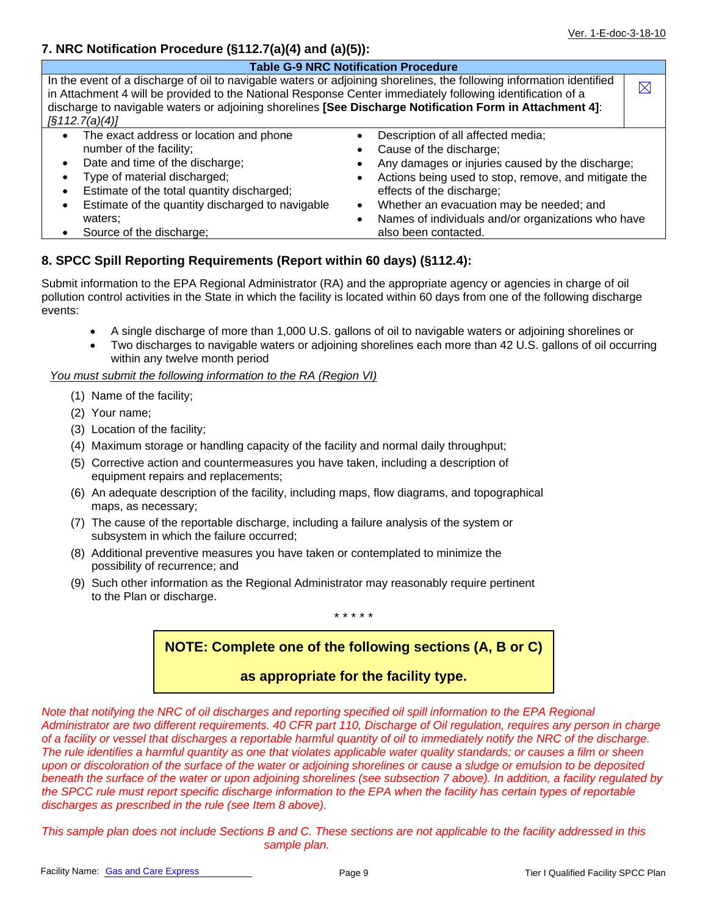### **7. NRC Notification Procedure (§112.7(a)(4) and (a)(5)):**

| <b>Table G-9 NRC Notification Procedure</b>                                                                                                                                                                                                                                                                                                                             |                                                                                                                                                                                                                                                                                                                                               |             |  |  |  |
|-------------------------------------------------------------------------------------------------------------------------------------------------------------------------------------------------------------------------------------------------------------------------------------------------------------------------------------------------------------------------|-----------------------------------------------------------------------------------------------------------------------------------------------------------------------------------------------------------------------------------------------------------------------------------------------------------------------------------------------|-------------|--|--|--|
| In the event of a discharge of oil to navigable waters or adjoining shorelines, the following information identified<br>in Attachment 4 will be provided to the National Response Center immediately following identification of a<br>discharge to navigable waters or adjoining shorelines [See Discharge Notification Form in Attachment 4]:<br>$\sqrt{3112.7(a)(4)}$ |                                                                                                                                                                                                                                                                                                                                               | $\boxtimes$ |  |  |  |
| The exact address or location and phone<br>$\bullet$<br>number of the facility;<br>Date and time of the discharge;<br>$\bullet$<br>Type of material discharged;<br>Estimate of the total quantity discharged;<br>Estimate of the quantity discharged to navigable<br>waters:<br>Source of the discharge;                                                                | Description of all affected media;<br>Cause of the discharge;<br>Any damages or injuries caused by the discharge;<br>Actions being used to stop, remove, and mitigate the<br>effects of the discharge;<br>Whether an evacuation may be needed; and<br>$\bullet$<br>Names of individuals and/or organizations who have<br>also been contacted. |             |  |  |  |

## **8. SPCC Spill Reporting Requirements (Report within 60 days) (§112.4):**

Submit information to the EPA Regional Administrator (RA) and the appropriate agency or agencies in charge of oil pollution control activities in the State in which the facility is located within 60 days from one of the following discharge events:

- A single discharge of more than 1,000 U.S. gallons of oil to navigable waters or adjoining shorelines or
- Two discharges to navigable waters or adjoining shorelines each more than 42 U.S. gallons of oil occurring within any twelve month period

*You must submit the following information to the RA (Region VI)* 

- (1) Name of the facility;
- (2) Your name;
- (3) Location of the facility;
- (4) Maximum storage or handling capacity of the facility and normal daily throughput;
- (5) Corrective action and countermeasures you have taken, including a description of equipment repairs and replacements;
- (6) An adequate description of the facility, including maps, flow diagrams, and topographical maps, as necessary;
- (7) The cause of the reportable discharge, including a failure analysis of the system or subsystem in which the failure occurred;
- (8) Additional preventive measures you have taken or contemplated to minimize the possibility of recurrence; and
- (9) Such other information as the Regional Administrator may reasonably require pertinent to the Plan or discharge.

\* \* \* \* \*

## **NOTE: Complete one of the following sections (A, B or C)**

## **as appropriate for the facility type.**

*Note that notifying the NRC of oil discharges and reporting specified oil spill information to the EPA Regional Administrator are two different requirements. 40 CFR part 110, Discharge of Oil regulation, requires any person in charge of a facility or vessel that discharges a reportable harmful quantity of oil to immediately notify the NRC of the discharge. The rule identifies a harmful quantity as one that violates applicable water quality standards; or causes a film or sheen upon or discoloration of the surface of the water or adjoining shorelines or cause a sludge or emulsion to be deposited beneath the surface of the water or upon adjoining shorelines (see subsection 7 above). In addition, a facility regulated by the SPCC rule must report specific discharge information to the EPA when the facility has certain types of reportable discharges as prescribed in the rule (see Item 8 above).* 

*This sample plan does not include Sections B and C. These sections are not applicable to the facility addressed in this sample plan.*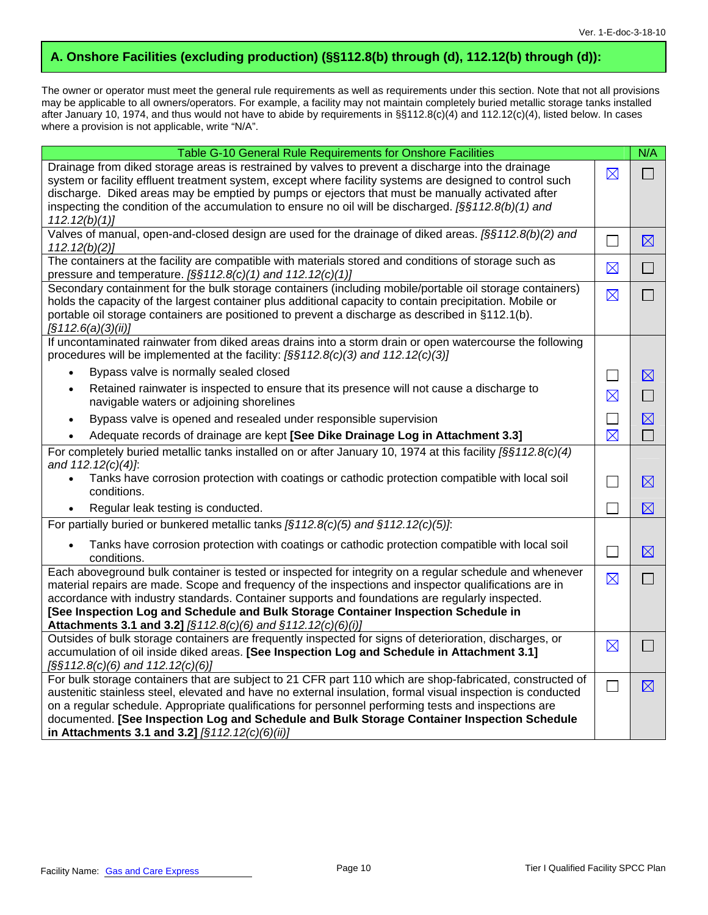## **A. Onshore Facilities (excluding production) (§§112.8(b) through (d), 112.12(b) through (d)):**

The owner or operator must meet the general rule requirements as well as requirements under this section. Note that not all provisions may be applicable to all owners/operators. For example, a facility may not maintain completely buried metallic storage tanks installed after January 10, 1974, and thus would not have to abide by requirements in §§112.8(c)(4) and 112.12(c)(4), listed below. In cases where a provision is not applicable, write "N/A".

| Table G-10 General Rule Requirements for Onshore Facilities                                                                                                                                                                                                                                                                                                                                                                     |                | N/A         |
|---------------------------------------------------------------------------------------------------------------------------------------------------------------------------------------------------------------------------------------------------------------------------------------------------------------------------------------------------------------------------------------------------------------------------------|----------------|-------------|
| Drainage from diked storage areas is restrained by valves to prevent a discharge into the drainage<br>system or facility effluent treatment system, except where facility systems are designed to control such<br>discharge. Diked areas may be emptied by pumps or ejectors that must be manually activated after<br>inspecting the condition of the accumulation to ensure no oil will be discharged. $[§§112.8(b)(1)$ and    | $\boxtimes$    | $\Box$      |
| 112.12(b)(1)                                                                                                                                                                                                                                                                                                                                                                                                                    |                |             |
| Valves of manual, open-and-closed design are used for the drainage of diked areas. [§§112.8(b)(2) and<br>112.12(b)(2)                                                                                                                                                                                                                                                                                                           | $\Box$         | $\boxtimes$ |
| The containers at the facility are compatible with materials stored and conditions of storage such as<br>pressure and temperature. $[\S \S 112.8(c)(1)$ and 112.12(c)(1)]                                                                                                                                                                                                                                                       | $\boxtimes$    | $\Box$      |
| Secondary containment for the bulk storage containers (including mobile/portable oil storage containers)<br>holds the capacity of the largest container plus additional capacity to contain precipitation. Mobile or<br>portable oil storage containers are positioned to prevent a discharge as described in §112.1(b).<br>$\sqrt{5112.6(a)(3)(ii)}$                                                                           | $\boxtimes$    | $\Box$      |
| If uncontaminated rainwater from diked areas drains into a storm drain or open watercourse the following<br>procedures will be implemented at the facility: [§§112.8(c)(3) and 112.12(c)(3)]                                                                                                                                                                                                                                    |                |             |
| Bypass valve is normally sealed closed<br>$\bullet$                                                                                                                                                                                                                                                                                                                                                                             | $\blacksquare$ | $\boxtimes$ |
| Retained rainwater is inspected to ensure that its presence will not cause a discharge to<br>$\bullet$<br>navigable waters or adjoining shorelines                                                                                                                                                                                                                                                                              | $\boxtimes$    | $\Box$      |
| Bypass valve is opened and resealed under responsible supervision<br>$\bullet$                                                                                                                                                                                                                                                                                                                                                  | $\Box$         | $\boxtimes$ |
| Adequate records of drainage are kept [See Dike Drainage Log in Attachment 3.3]<br>$\bullet$                                                                                                                                                                                                                                                                                                                                    | $\boxtimes$    | $\Box$      |
| For completely buried metallic tanks installed on or after January 10, 1974 at this facility $\frac{56112.8(c)}{4}$<br>and 112.12(c)(4)]:                                                                                                                                                                                                                                                                                       |                |             |
| Tanks have corrosion protection with coatings or cathodic protection compatible with local soil<br>conditions.                                                                                                                                                                                                                                                                                                                  | П              | $\boxtimes$ |
| Regular leak testing is conducted.                                                                                                                                                                                                                                                                                                                                                                                              |                | $\boxtimes$ |
| For partially buried or bunkered metallic tanks $\sqrt{(5112.8(c)(5))}$ and $\sqrt{(112.12(c)(5))}$ .                                                                                                                                                                                                                                                                                                                           |                |             |
| Tanks have corrosion protection with coatings or cathodic protection compatible with local soil<br>$\bullet$<br>conditions.                                                                                                                                                                                                                                                                                                     | П              | $\boxtimes$ |
| Each aboveground bulk container is tested or inspected for integrity on a regular schedule and whenever<br>material repairs are made. Scope and frequency of the inspections and inspector qualifications are in                                                                                                                                                                                                                | $\boxtimes$    | $\Box$      |
| accordance with industry standards. Container supports and foundations are regularly inspected.<br>[See Inspection Log and Schedule and Bulk Storage Container Inspection Schedule in                                                                                                                                                                                                                                           |                |             |
| Attachments 3.1 and 3.2] [§112.8(c)(6) and §112.12(c)(6)(i)]                                                                                                                                                                                                                                                                                                                                                                    |                |             |
| Outsides of bulk storage containers are frequently inspected for signs of deterioration, discharges, or                                                                                                                                                                                                                                                                                                                         | $\boxtimes$    | $\Box$      |
| accumulation of oil inside diked areas. [See Inspection Log and Schedule in Attachment 3.1]<br>$\left[\frac{5}{5}\frac{112.8(c)}{6}\right]$ and 112.12(c)(6)]                                                                                                                                                                                                                                                                   |                |             |
| For bulk storage containers that are subject to 21 CFR part 110 which are shop-fabricated, constructed of<br>austenitic stainless steel, elevated and have no external insulation, formal visual inspection is conducted<br>on a regular schedule. Appropriate qualifications for personnel performing tests and inspections are<br>documented. [See Inspection Log and Schedule and Bulk Storage Container Inspection Schedule | $\Box$         | $\boxtimes$ |
| in Attachments 3.1 and 3.2] [§112.12(c)(6)(ii)]                                                                                                                                                                                                                                                                                                                                                                                 |                |             |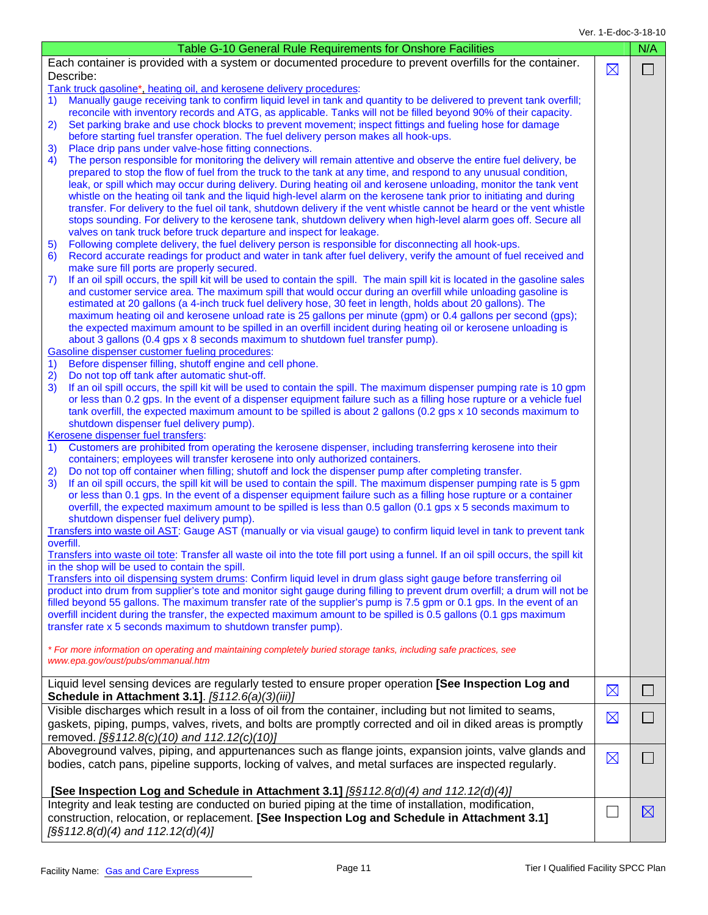| Table G-10 General Rule Requirements for Onshore Facilities                                                                                                                                                                                                                                                                                                                                                                                                                                                                                                                                                                                                                                                                                                                                                                                                                                                                                                                                                                                                                                                                                                                                                                                                                                                                                                                                                                                                                                                                                                                                                                                                                                                                                                                                                                                                                                                                                                                                                                                                                                                                                                                                                                                                                                                 |             |                          |  |
|-------------------------------------------------------------------------------------------------------------------------------------------------------------------------------------------------------------------------------------------------------------------------------------------------------------------------------------------------------------------------------------------------------------------------------------------------------------------------------------------------------------------------------------------------------------------------------------------------------------------------------------------------------------------------------------------------------------------------------------------------------------------------------------------------------------------------------------------------------------------------------------------------------------------------------------------------------------------------------------------------------------------------------------------------------------------------------------------------------------------------------------------------------------------------------------------------------------------------------------------------------------------------------------------------------------------------------------------------------------------------------------------------------------------------------------------------------------------------------------------------------------------------------------------------------------------------------------------------------------------------------------------------------------------------------------------------------------------------------------------------------------------------------------------------------------------------------------------------------------------------------------------------------------------------------------------------------------------------------------------------------------------------------------------------------------------------------------------------------------------------------------------------------------------------------------------------------------------------------------------------------------------------------------------------------------|-------------|--------------------------|--|
| Each container is provided with a system or documented procedure to prevent overfills for the container.<br>Describe:                                                                                                                                                                                                                                                                                                                                                                                                                                                                                                                                                                                                                                                                                                                                                                                                                                                                                                                                                                                                                                                                                                                                                                                                                                                                                                                                                                                                                                                                                                                                                                                                                                                                                                                                                                                                                                                                                                                                                                                                                                                                                                                                                                                       | $\boxtimes$ | $\Box$                   |  |
| Tank truck gasoline*, heating oil, and kerosene delivery procedures:<br>Manually gauge receiving tank to confirm liquid level in tank and quantity to be delivered to prevent tank overfill;<br>1)<br>reconcile with inventory records and ATG, as applicable. Tanks will not be filled beyond 90% of their capacity.<br>Set parking brake and use chock blocks to prevent movement; inspect fittings and fueling hose for damage<br>2)<br>before starting fuel transfer operation. The fuel delivery person makes all hook-ups.<br>Place drip pans under valve-hose fitting connections.<br>3)<br>The person responsible for monitoring the delivery will remain attentive and observe the entire fuel delivery, be<br>4)<br>prepared to stop the flow of fuel from the truck to the tank at any time, and respond to any unusual condition,<br>leak, or spill which may occur during delivery. During heating oil and kerosene unloading, monitor the tank vent<br>whistle on the heating oil tank and the liquid high-level alarm on the kerosene tank prior to initiating and during<br>transfer. For delivery to the fuel oil tank, shutdown delivery if the vent whistle cannot be heard or the vent whistle<br>stops sounding. For delivery to the kerosene tank, shutdown delivery when high-level alarm goes off. Secure all<br>valves on tank truck before truck departure and inspect for leakage.<br>Following complete delivery, the fuel delivery person is responsible for disconnecting all hook-ups.<br>5)<br>Record accurate readings for product and water in tank after fuel delivery, verify the amount of fuel received and<br>6)<br>make sure fill ports are properly secured.<br>If an oil spill occurs, the spill kit will be used to contain the spill. The main spill kit is located in the gasoline sales<br>7)<br>and customer service area. The maximum spill that would occur during an overfill while unloading gasoline is<br>estimated at 20 gallons (a 4-inch truck fuel delivery hose, 30 feet in length, holds about 20 gallons). The<br>maximum heating oil and kerosene unload rate is 25 gallons per minute (gpm) or 0.4 gallons per second (gps);<br>the expected maximum amount to be spilled in an overfill incident during heating oil or kerosene unloading is |             |                          |  |
| about 3 gallons (0.4 gps x 8 seconds maximum to shutdown fuel transfer pump).<br>Gasoline dispenser customer fueling procedures:<br>Before dispenser filling, shutoff engine and cell phone.<br>$\left( \begin{matrix} 1 \end{matrix} \right)$<br>Do not top off tank after automatic shut-off.<br>2)<br>3)<br>If an oil spill occurs, the spill kit will be used to contain the spill. The maximum dispenser pumping rate is 10 gpm<br>or less than 0.2 gps. In the event of a dispenser equipment failure such as a filling hose rupture or a vehicle fuel<br>tank overfill, the expected maximum amount to be spilled is about 2 gallons (0.2 gps x 10 seconds maximum to<br>shutdown dispenser fuel delivery pump).                                                                                                                                                                                                                                                                                                                                                                                                                                                                                                                                                                                                                                                                                                                                                                                                                                                                                                                                                                                                                                                                                                                                                                                                                                                                                                                                                                                                                                                                                                                                                                                     |             |                          |  |
| Kerosene dispenser fuel transfers:<br>Customers are prohibited from operating the kerosene dispenser, including transferring kerosene into their<br>$\left( \begin{matrix} 1 \end{matrix} \right)$<br>containers; employees will transfer kerosene into only authorized containers.<br>Do not top off container when filling; shutoff and lock the dispenser pump after completing transfer.<br>2)<br>3)<br>If an oil spill occurs, the spill kit will be used to contain the spill. The maximum dispenser pumping rate is 5 gpm<br>or less than 0.1 gps. In the event of a dispenser equipment failure such as a filling hose rupture or a container<br>overfill, the expected maximum amount to be spilled is less than 0.5 gallon (0.1 gps x 5 seconds maximum to<br>shutdown dispenser fuel delivery pump).<br>Transfers into waste oil AST: Gauge AST (manually or via visual gauge) to confirm liquid level in tank to prevent tank                                                                                                                                                                                                                                                                                                                                                                                                                                                                                                                                                                                                                                                                                                                                                                                                                                                                                                                                                                                                                                                                                                                                                                                                                                                                                                                                                                   |             |                          |  |
| overfill.<br>Transfers into waste oil tote: Transfer all waste oil into the tote fill port using a funnel. If an oil spill occurs, the spill kit<br>in the shop will be used to contain the spill.<br>Transfers into oil dispensing system drums: Confirm liquid level in drum glass sight gauge before transferring oil<br>product into drum from supplier's tote and monitor sight gauge during filling to prevent drum overfill; a drum will not be<br>filled beyond 55 gallons. The maximum transfer rate of the supplier's pump is 7.5 gpm or 0.1 gps. In the event of an<br>overfill incident during the transfer, the expected maximum amount to be spilled is 0.5 gallons (0.1 gps maximum<br>transfer rate x 5 seconds maximum to shutdown transfer pump).<br>* For more information on operating and maintaining completely buried storage tanks, including safe practices, see<br>www.epa.gov/oust/pubs/ommanual.htm                                                                                                                                                                                                                                                                                                                                                                                                                                                                                                                                                                                                                                                                                                                                                                                                                                                                                                                                                                                                                                                                                                                                                                                                                                                                                                                                                                             |             |                          |  |
| Liquid level sensing devices are regularly tested to ensure proper operation [See Inspection Log and<br><b>Schedule in Attachment 3.1].</b> [§112.6(a)(3)(iii)]                                                                                                                                                                                                                                                                                                                                                                                                                                                                                                                                                                                                                                                                                                                                                                                                                                                                                                                                                                                                                                                                                                                                                                                                                                                                                                                                                                                                                                                                                                                                                                                                                                                                                                                                                                                                                                                                                                                                                                                                                                                                                                                                             | $\boxtimes$ | $\overline{\phantom{a}}$ |  |
| Visible discharges which result in a loss of oil from the container, including but not limited to seams,<br>gaskets, piping, pumps, valves, rivets, and bolts are promptly corrected and oil in diked areas is promptly<br>removed. [§§112.8(c)(10) and 112.12(c)(10)]                                                                                                                                                                                                                                                                                                                                                                                                                                                                                                                                                                                                                                                                                                                                                                                                                                                                                                                                                                                                                                                                                                                                                                                                                                                                                                                                                                                                                                                                                                                                                                                                                                                                                                                                                                                                                                                                                                                                                                                                                                      | $\boxtimes$ | $\blacksquare$           |  |
| Aboveground valves, piping, and appurtenances such as flange joints, expansion joints, valve glands and<br>bodies, catch pans, pipeline supports, locking of valves, and metal surfaces are inspected regularly.                                                                                                                                                                                                                                                                                                                                                                                                                                                                                                                                                                                                                                                                                                                                                                                                                                                                                                                                                                                                                                                                                                                                                                                                                                                                                                                                                                                                                                                                                                                                                                                                                                                                                                                                                                                                                                                                                                                                                                                                                                                                                            | $\boxtimes$ | <b>College</b>           |  |
| [See Inspection Log and Schedule in Attachment 3.1] [§§112.8(d)(4) and 112.12(d)(4)]                                                                                                                                                                                                                                                                                                                                                                                                                                                                                                                                                                                                                                                                                                                                                                                                                                                                                                                                                                                                                                                                                                                                                                                                                                                                                                                                                                                                                                                                                                                                                                                                                                                                                                                                                                                                                                                                                                                                                                                                                                                                                                                                                                                                                        |             |                          |  |
| Integrity and leak testing are conducted on buried piping at the time of installation, modification,<br>construction, relocation, or replacement. [See Inspection Log and Schedule in Attachment 3.1]<br>$\sqrt{S\$ 112.8(d)(4) and 112.12(d)(4)]                                                                                                                                                                                                                                                                                                                                                                                                                                                                                                                                                                                                                                                                                                                                                                                                                                                                                                                                                                                                                                                                                                                                                                                                                                                                                                                                                                                                                                                                                                                                                                                                                                                                                                                                                                                                                                                                                                                                                                                                                                                           |             | $\boxtimes$              |  |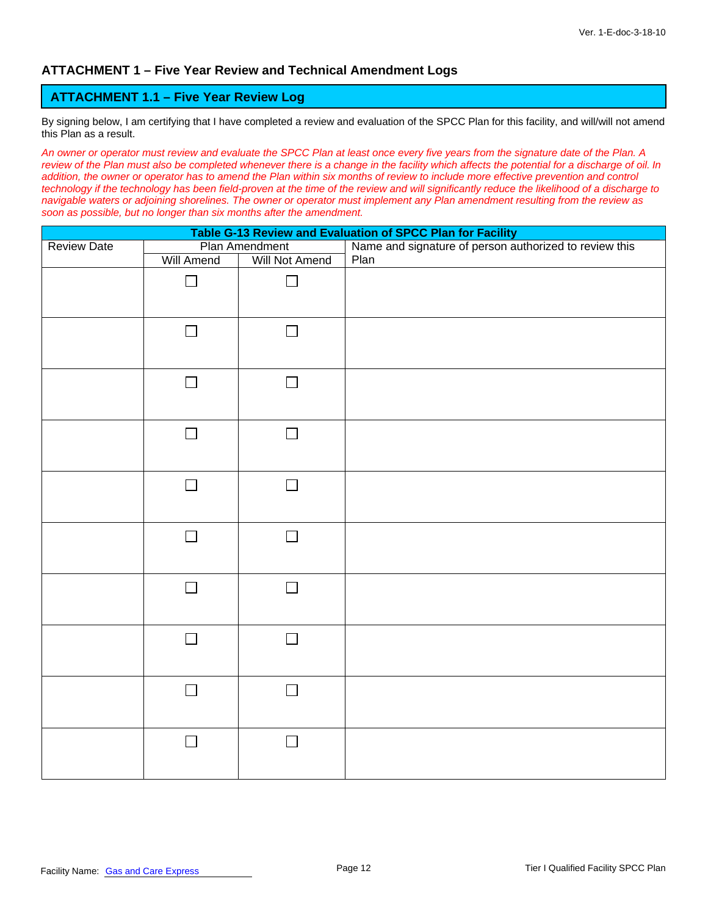#### **ATTACHMENT 1 – Five Year Review and Technical Amendment Logs**

#### **ATTACHMENT 1.1 – Five Year Review Log**

By signing below, I am certifying that I have completed a review and evaluation of the SPCC Plan for this facility, and will/will not amend this Plan as a result.

*An owner or operator must review and evaluate the SPCC Plan at least once every five years from the signature date of the Plan. A review of the Plan must also be completed whenever there is a change in the facility which affects the potential for a discharge of oil. In*  addition, the owner or operator has to amend the Plan within six months of review to include more effective prevention and control *technology if the technology has been field-proven at the time of the review and will significantly reduce the likelihood of a discharge to navigable waters or adjoining shorelines. The owner or operator must implement any Plan amendment resulting from the review as soon as possible, but no longer than six months after the amendment.* 

| Table G-13 Review and Evaluation of SPCC Plan for Facility |                   |                |                                                        |  |  |
|------------------------------------------------------------|-------------------|----------------|--------------------------------------------------------|--|--|
| <b>Review Date</b>                                         | Plan Amendment    |                | Name and signature of person authorized to review this |  |  |
|                                                            | <b>Will Amend</b> | Will Not Amend | Plan                                                   |  |  |
|                                                            | $\blacksquare$    |                |                                                        |  |  |
|                                                            | $\Box$            | $\Box$         |                                                        |  |  |
|                                                            | П                 | $\Box$         |                                                        |  |  |
|                                                            | $\Box$            | $\Box$         |                                                        |  |  |
|                                                            | $\Box$            | $\Box$         |                                                        |  |  |
|                                                            | $\Box$            | $\Box$         |                                                        |  |  |
|                                                            | $\Box$            | $\Box$         |                                                        |  |  |
|                                                            | $\Box$            | $\Box$         |                                                        |  |  |
|                                                            | $\Box$            | $\Box$         |                                                        |  |  |
|                                                            | $\Box$            | $\Box$         |                                                        |  |  |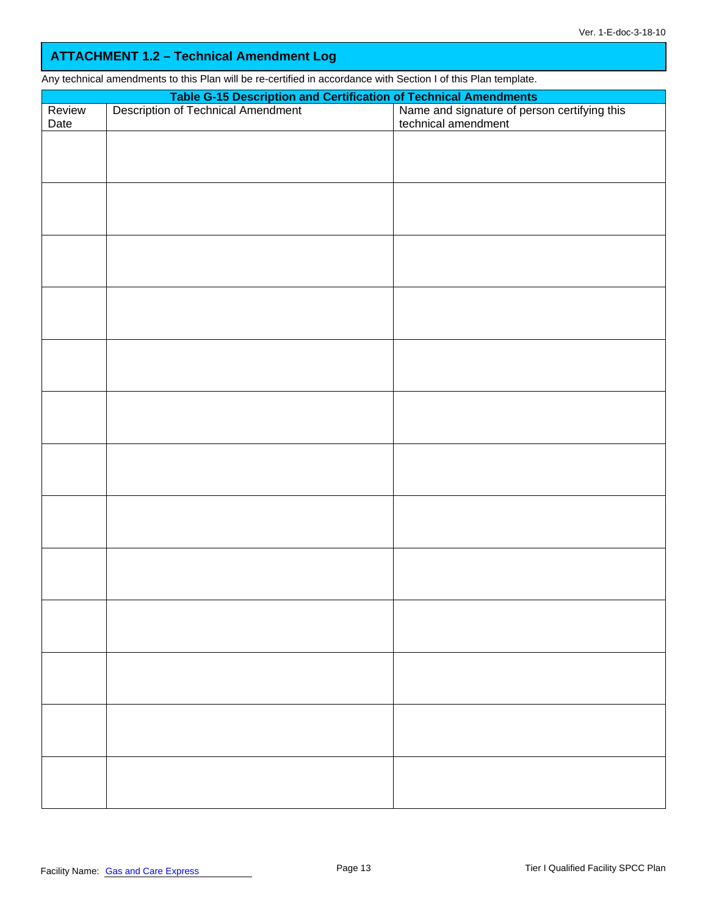## **ATTACHMENT 1.2 – Technical Amendment Log**

Any technical amendments to this Plan will be re-certified in accordance with Section I of this Plan template.

| Review | Table G-15 Description and Certification of Technical Amendments<br>Description of Technical Amendment Name and signature of pers | Name and signature of person certifying this<br>technical amendment |
|--------|-----------------------------------------------------------------------------------------------------------------------------------|---------------------------------------------------------------------|
| Date   |                                                                                                                                   |                                                                     |
|        |                                                                                                                                   |                                                                     |
|        |                                                                                                                                   |                                                                     |
|        |                                                                                                                                   |                                                                     |
|        |                                                                                                                                   |                                                                     |
|        |                                                                                                                                   |                                                                     |
|        |                                                                                                                                   |                                                                     |
|        |                                                                                                                                   |                                                                     |
|        |                                                                                                                                   |                                                                     |
|        |                                                                                                                                   |                                                                     |
|        |                                                                                                                                   |                                                                     |
|        |                                                                                                                                   |                                                                     |
|        |                                                                                                                                   |                                                                     |
|        |                                                                                                                                   |                                                                     |
|        |                                                                                                                                   |                                                                     |
|        |                                                                                                                                   |                                                                     |
|        |                                                                                                                                   |                                                                     |
|        |                                                                                                                                   |                                                                     |
|        |                                                                                                                                   |                                                                     |
|        |                                                                                                                                   |                                                                     |
|        |                                                                                                                                   |                                                                     |
|        |                                                                                                                                   |                                                                     |
|        |                                                                                                                                   |                                                                     |
|        |                                                                                                                                   |                                                                     |
|        |                                                                                                                                   |                                                                     |
|        |                                                                                                                                   |                                                                     |
|        |                                                                                                                                   |                                                                     |
|        |                                                                                                                                   |                                                                     |
|        |                                                                                                                                   |                                                                     |
|        |                                                                                                                                   |                                                                     |
|        |                                                                                                                                   |                                                                     |
|        |                                                                                                                                   |                                                                     |
|        |                                                                                                                                   |                                                                     |
|        |                                                                                                                                   |                                                                     |
|        |                                                                                                                                   |                                                                     |
|        |                                                                                                                                   |                                                                     |
|        |                                                                                                                                   |                                                                     |
|        |                                                                                                                                   |                                                                     |
|        |                                                                                                                                   |                                                                     |
|        |                                                                                                                                   |                                                                     |
|        |                                                                                                                                   |                                                                     |
|        |                                                                                                                                   |                                                                     |
|        |                                                                                                                                   |                                                                     |
|        |                                                                                                                                   |                                                                     |
|        |                                                                                                                                   |                                                                     |
|        |                                                                                                                                   |                                                                     |
|        |                                                                                                                                   |                                                                     |
|        |                                                                                                                                   |                                                                     |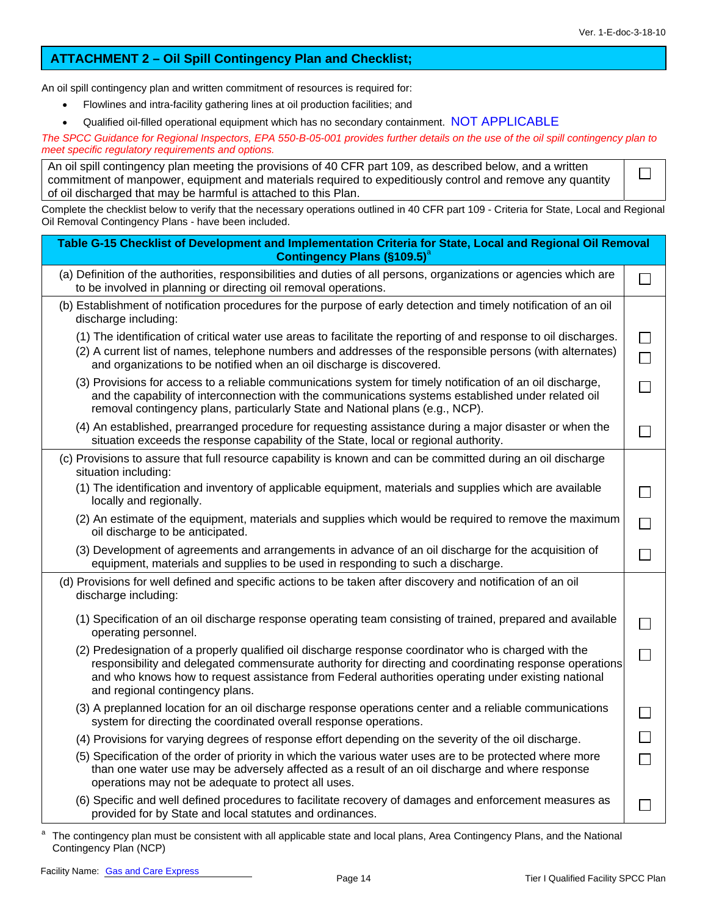$\Box$ 

#### **ATTACHMENT 2 – Oil Spill Contingency Plan and Checklist;**

An oil spill contingency plan and written commitment of resources is required for:

- Flowlines and intra-facility gathering lines at oil production facilities; and
- Qualified oil-filled operational equipment which has no secondary containment. NOT APPLICABLE

*The SPCC Guidance for Regional Inspectors, EPA 550-B-05-001 provides further details on the use of the oil spill contingency plan to meet specific regulatory requirements and options.* 

| An oil spill contingency plan meeting the provisions of 40 CFR part 109, as described below, and a written |
|------------------------------------------------------------------------------------------------------------|
| commitment of manpower, equipment and materials required to expeditiously control and remove any quantity  |
| of oil discharged that may be harmful is attached to this Plan.                                            |

Complete the checklist below to verify that the necessary operations outlined in 40 CFR part 109 - Criteria for State, Local and Regional Oil Removal Contingency Plans - have been included.

| Table G-15 Checklist of Development and Implementation Criteria for State, Local and Regional Oil Removal<br><b>Contingency Plans (§109.5)</b> <sup>a</sup>                                                                                                                                                                                              |  |
|----------------------------------------------------------------------------------------------------------------------------------------------------------------------------------------------------------------------------------------------------------------------------------------------------------------------------------------------------------|--|
| (a) Definition of the authorities, responsibilities and duties of all persons, organizations or agencies which are<br>to be involved in planning or directing oil removal operations.                                                                                                                                                                    |  |
| (b) Establishment of notification procedures for the purpose of early detection and timely notification of an oil<br>discharge including:                                                                                                                                                                                                                |  |
| (1) The identification of critical water use areas to facilitate the reporting of and response to oil discharges.<br>(2) A current list of names, telephone numbers and addresses of the responsible persons (with alternates)<br>and organizations to be notified when an oil discharge is discovered.                                                  |  |
| (3) Provisions for access to a reliable communications system for timely notification of an oil discharge,<br>and the capability of interconnection with the communications systems established under related oil<br>removal contingency plans, particularly State and National plans (e.g., NCP).                                                       |  |
| (4) An established, prearranged procedure for requesting assistance during a major disaster or when the<br>situation exceeds the response capability of the State, local or regional authority.                                                                                                                                                          |  |
| (c) Provisions to assure that full resource capability is known and can be committed during an oil discharge<br>situation including:                                                                                                                                                                                                                     |  |
| (1) The identification and inventory of applicable equipment, materials and supplies which are available<br>locally and regionally.                                                                                                                                                                                                                      |  |
| (2) An estimate of the equipment, materials and supplies which would be required to remove the maximum<br>oil discharge to be anticipated.                                                                                                                                                                                                               |  |
| (3) Development of agreements and arrangements in advance of an oil discharge for the acquisition of<br>equipment, materials and supplies to be used in responding to such a discharge.                                                                                                                                                                  |  |
| (d) Provisions for well defined and specific actions to be taken after discovery and notification of an oil<br>discharge including:                                                                                                                                                                                                                      |  |
| (1) Specification of an oil discharge response operating team consisting of trained, prepared and available<br>operating personnel.                                                                                                                                                                                                                      |  |
| (2) Predesignation of a properly qualified oil discharge response coordinator who is charged with the<br>responsibility and delegated commensurate authority for directing and coordinating response operations<br>and who knows how to request assistance from Federal authorities operating under existing national<br>and regional contingency plans. |  |
| (3) A preplanned location for an oil discharge response operations center and a reliable communications<br>system for directing the coordinated overall response operations.                                                                                                                                                                             |  |
| (4) Provisions for varying degrees of response effort depending on the severity of the oil discharge.                                                                                                                                                                                                                                                    |  |
| (5) Specification of the order of priority in which the various water uses are to be protected where more<br>than one water use may be adversely affected as a result of an oil discharge and where response<br>operations may not be adequate to protect all uses.                                                                                      |  |
| (6) Specific and well defined procedures to facilitate recovery of damages and enforcement measures as<br>provided for by State and local statutes and ordinances.                                                                                                                                                                                       |  |

a The contingency plan must be consistent with all applicable state and local plans, Area Contingency Plans, and the National Contingency Plan (NCP)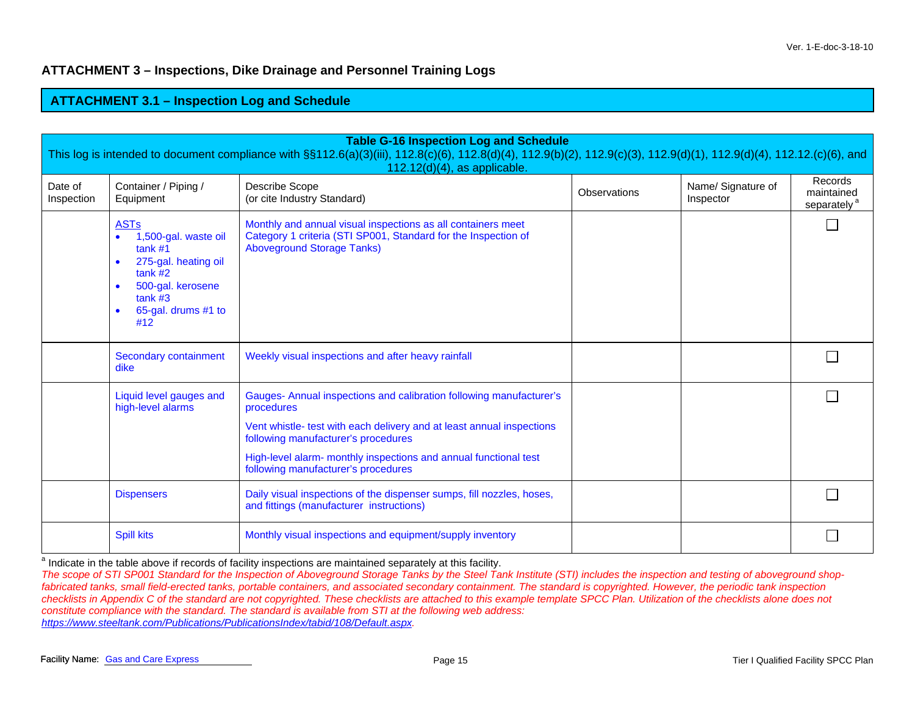## **ATTACHMENT 3 – Inspections, Dike Drainage and Personnel Training Logs**

#### **ATTACHMENT 3.1 – Ins pection Lo g and Schedule**

| <b>Table G-16 Inspection Log and Schedule</b><br>This log is intended to document compliance with §§112.6(a)(3)(iii), 112.8(c)(6), 112.8(d)(4), 112.9(b)(2), 112.9(c)(3), 112.9(d)(1), 112.9(d)(4), 112.12.(c)(6), and<br>$112.12(d)(4)$ , as applicable. |                                                                                                                                                 |                                                                                                                                                                                                                                                                                                              |  |  |  |  |  |
|-----------------------------------------------------------------------------------------------------------------------------------------------------------------------------------------------------------------------------------------------------------|-------------------------------------------------------------------------------------------------------------------------------------------------|--------------------------------------------------------------------------------------------------------------------------------------------------------------------------------------------------------------------------------------------------------------------------------------------------------------|--|--|--|--|--|
| Date of<br>Inspection                                                                                                                                                                                                                                     | Name/ Signature of<br>Container / Piping /<br>Describe Scope<br>Observations<br>(or cite Industry Standard)<br>Equipment<br>Inspector           |                                                                                                                                                                                                                                                                                                              |  |  |  |  |  |
|                                                                                                                                                                                                                                                           | <b>ASTs</b><br>1,500-gal. waste oil<br>tank #1<br>275-gal. heating oil<br>tank #2<br>500-gal. kerosene<br>tank #3<br>65-gal. drums #1 to<br>#12 | Monthly and annual visual inspections as all containers meet<br>Category 1 criteria (STI SP001, Standard for the Inspection of<br><b>Aboveground Storage Tanks)</b>                                                                                                                                          |  |  |  |  |  |
|                                                                                                                                                                                                                                                           | Secondary containment<br>dike                                                                                                                   | Weekly visual inspections and after heavy rainfall                                                                                                                                                                                                                                                           |  |  |  |  |  |
|                                                                                                                                                                                                                                                           | Liquid level gauges and<br>high-level alarms                                                                                                    | Gauges- Annual inspections and calibration following manufacturer's<br>procedures<br>Vent whistle- test with each delivery and at least annual inspections<br>following manufacturer's procedures<br>High-level alarm- monthly inspections and annual functional test<br>following manufacturer's procedures |  |  |  |  |  |
|                                                                                                                                                                                                                                                           | <b>Dispensers</b>                                                                                                                               | Daily visual inspections of the dispenser sumps, fill nozzles, hoses,<br>and fittings (manufacturer instructions)                                                                                                                                                                                            |  |  |  |  |  |
|                                                                                                                                                                                                                                                           | <b>Spill kits</b>                                                                                                                               | Monthly visual inspections and equipment/supply inventory                                                                                                                                                                                                                                                    |  |  |  |  |  |

<sup>a</sup> Indicate in the table above if records of facility inspections are maintained separately at this facility.

*The scope of STI SP001 Standard for the Inspection of Aboveground Storage Tanks by the Steel Tank Institute (STI) includes the inspection and testing of aboveground shopfabricated tanks, small field-erected tanks, portable containers, and associated secondary containment. The standard is copyrighted. However, the periodic tank inspection checklists in Appendix C of the standard are not copyrighted. These checklists are attached to this example template SPCC Plan. Utilization of the checklists alone does not constitute compliance with the standard. The standard is available from STI at the following web address: https://www.steeltank.com/Publications/PublicationsIndex/tabid/108/Default.aspx.*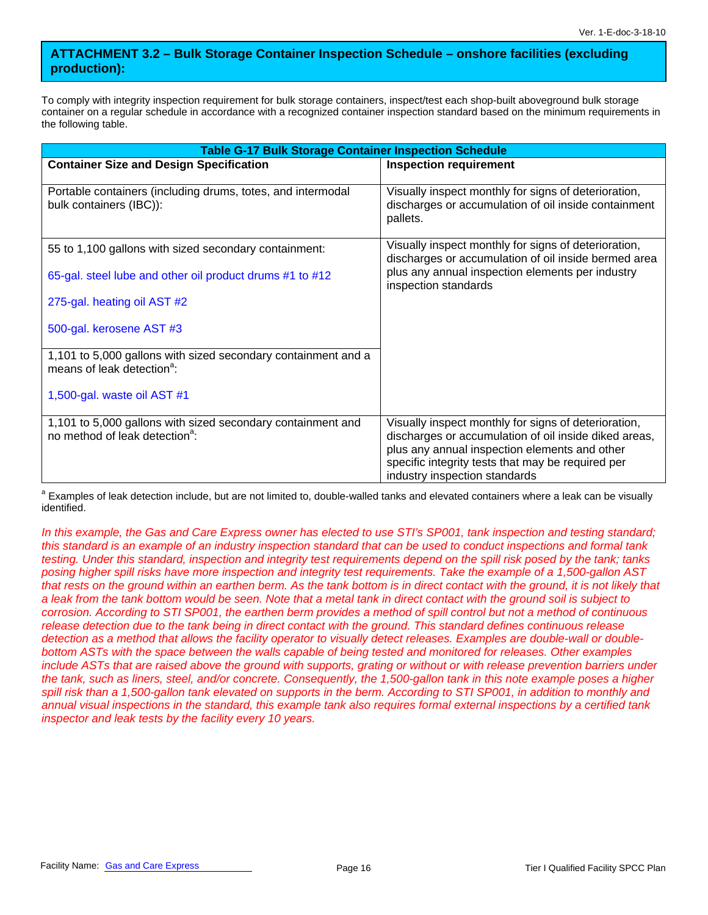### **ATTACHMENT 3.2 – Bulk Storage Container Inspection Schedule – onshore facilities (excluding production):**

To comply with integrity inspection requirement for bulk storage containers, inspect/test each shop-built aboveground bulk storage container on a regular schedule in accordance with a recognized container inspection standard based on the minimum requirements in the following table.

| <b>Table G-17 Bulk Storage Container Inspection Schedule</b>                                              |                                                                                                                                                                                                                                                      |  |  |  |
|-----------------------------------------------------------------------------------------------------------|------------------------------------------------------------------------------------------------------------------------------------------------------------------------------------------------------------------------------------------------------|--|--|--|
| <b>Container Size and Design Specification</b>                                                            | <b>Inspection requirement</b>                                                                                                                                                                                                                        |  |  |  |
| Portable containers (including drums, totes, and intermodal<br>bulk containers (IBC)):                    | Visually inspect monthly for signs of deterioration,<br>discharges or accumulation of oil inside containment<br>pallets.                                                                                                                             |  |  |  |
| 55 to 1,100 gallons with sized secondary containment:                                                     | Visually inspect monthly for signs of deterioration,<br>discharges or accumulation of oil inside bermed area                                                                                                                                         |  |  |  |
| 65-gal. steel lube and other oil product drums #1 to #12                                                  | plus any annual inspection elements per industry<br>inspection standards                                                                                                                                                                             |  |  |  |
| 275-gal. heating oil AST #2                                                                               |                                                                                                                                                                                                                                                      |  |  |  |
| 500-gal. kerosene AST #3                                                                                  |                                                                                                                                                                                                                                                      |  |  |  |
| 1,101 to 5,000 gallons with sized secondary containment and a<br>means of leak detection <sup>a</sup> :   |                                                                                                                                                                                                                                                      |  |  |  |
| 1,500-gal. waste oil AST #1                                                                               |                                                                                                                                                                                                                                                      |  |  |  |
| 1,101 to 5,000 gallons with sized secondary containment and<br>no method of leak detection <sup>a</sup> : | Visually inspect monthly for signs of deterioration,<br>discharges or accumulation of oil inside diked areas,<br>plus any annual inspection elements and other<br>specific integrity tests that may be required per<br>industry inspection standards |  |  |  |

<sup>a</sup> Examples of leak detection include, but are not limited to, double-walled tanks and elevated containers where a leak can be visually identified.

In this example, the Gas and Care Express owner has elected to use STI's SP001, tank inspection and testing standard; *this standard is an example of an industry inspection standard that can be used to conduct inspections and formal tank testing. Under this standard, inspection and integrity test requirements depend on the spill risk posed by the tank; tanks posing higher spill risks have more inspection and integrity test requirements. Take the example of a 1,500-gallon AST that rests on the ground within an earthen berm. As the tank bottom is in direct contact with the ground, it is not likely that a leak from the tank bottom would be seen. Note that a metal tank in direct contact with the ground soil is subject to corrosion. According to STI SP001, the earthen berm provides a method of spill control but not a method of continuous release detection due to the tank being in direct contact with the ground. This standard defines continuous release detection as a method that allows the facility operator to visually detect releases. Examples are double-wall or doublebottom ASTs with the space between the walls capable of being tested and monitored for releases. Other examples*  include ASTs that are raised above the ground with supports, grating or without or with release prevention barriers under *the tank, such as liners, steel, and/or concrete. Consequently, the 1,500-gallon tank in this note example poses a higher*  spill risk than a 1,500-gallon tank elevated on supports in the berm. According to STI SP001, in addition to monthly and *annual visual inspections in the standard, this example tank also requires formal external inspections by a certified tank inspector and leak tests by the facility every 10 years.*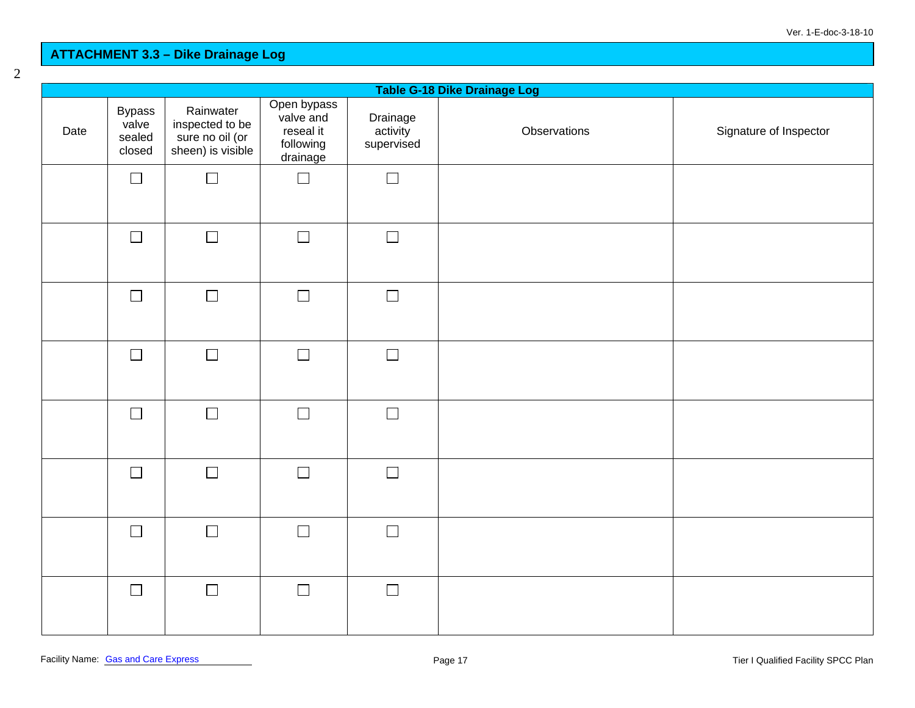#### **ATTACHMENT 3.3 – Dike Draina ge Lo g**

| Table G-18 Dike Drainage Log |                                            |                                                                      |                                                                |                                    |              |                        |
|------------------------------|--------------------------------------------|----------------------------------------------------------------------|----------------------------------------------------------------|------------------------------------|--------------|------------------------|
| Date                         | <b>Bypass</b><br>valve<br>sealed<br>closed | Rainwater<br>inspected to be<br>sure no oil (or<br>sheen) is visible | Open bypass<br>valve and<br>reseal it<br>following<br>drainage | Drainage<br>activity<br>supervised | Observations | Signature of Inspector |
|                              | $\Box$                                     | $\Box$                                                               | $\Box$                                                         | $\Box$                             |              |                        |
|                              | $\Box$                                     | $\Box$                                                               | $\Box$                                                         | $\Box$                             |              |                        |
|                              | $\Box$                                     | $\Box$                                                               | $\Box$                                                         | $\Box$                             |              |                        |
|                              | $\Box$                                     | $\Box$                                                               | $\Box$                                                         | $\Box$                             |              |                        |
|                              | $\Box$                                     | $\Box$                                                               | $\Box$                                                         | $\Box$                             |              |                        |
|                              | $\Box$                                     | $\Box$                                                               | $\Box$                                                         | $\Box$                             |              |                        |
|                              | $\Box$                                     | $\Box$                                                               | $\Box$                                                         | $\Box$                             |              |                        |
|                              | $\Box$                                     | $\Box$                                                               | $\Box$                                                         | $\Box$                             |              |                        |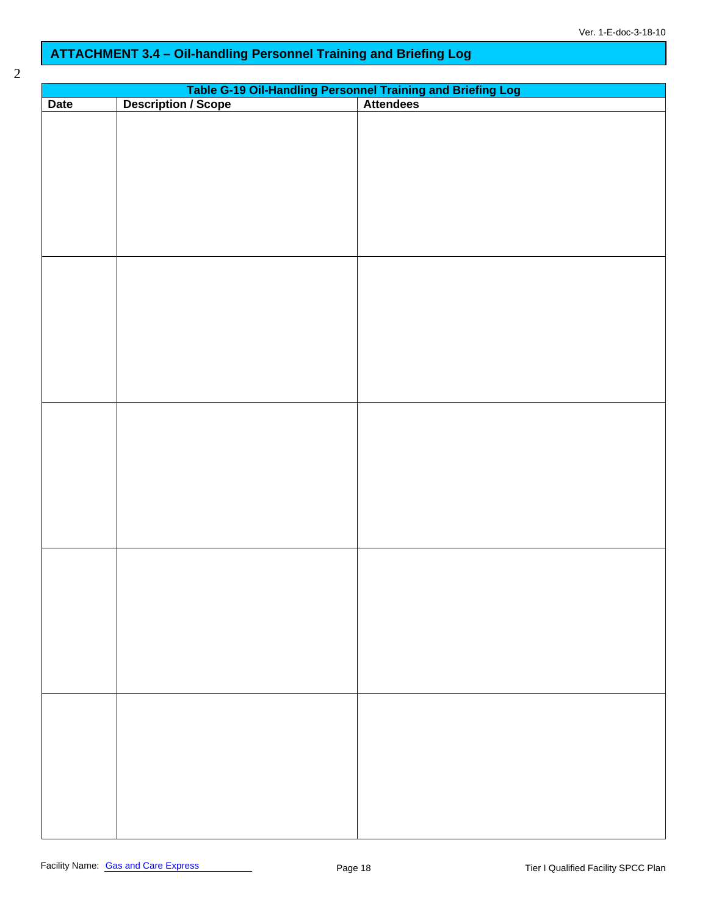## **ATTACHMENT 3.4 – Oil-handling Personnel Training and Briefing Log**

| v<br>۰,<br>I<br>i |  |
|-------------------|--|
| ٦                 |  |

| Table G-19 Oil-Handling Personnel Training and Briefing Log<br>Description / Scope   Attendees |  |  |  |  |  |
|------------------------------------------------------------------------------------------------|--|--|--|--|--|
| Date                                                                                           |  |  |  |  |  |
|                                                                                                |  |  |  |  |  |
|                                                                                                |  |  |  |  |  |
|                                                                                                |  |  |  |  |  |
|                                                                                                |  |  |  |  |  |
|                                                                                                |  |  |  |  |  |
|                                                                                                |  |  |  |  |  |
|                                                                                                |  |  |  |  |  |
|                                                                                                |  |  |  |  |  |
|                                                                                                |  |  |  |  |  |
|                                                                                                |  |  |  |  |  |
|                                                                                                |  |  |  |  |  |
|                                                                                                |  |  |  |  |  |
|                                                                                                |  |  |  |  |  |
|                                                                                                |  |  |  |  |  |
|                                                                                                |  |  |  |  |  |
|                                                                                                |  |  |  |  |  |
|                                                                                                |  |  |  |  |  |
|                                                                                                |  |  |  |  |  |
|                                                                                                |  |  |  |  |  |
|                                                                                                |  |  |  |  |  |
|                                                                                                |  |  |  |  |  |
|                                                                                                |  |  |  |  |  |
|                                                                                                |  |  |  |  |  |
|                                                                                                |  |  |  |  |  |
|                                                                                                |  |  |  |  |  |
|                                                                                                |  |  |  |  |  |
|                                                                                                |  |  |  |  |  |
|                                                                                                |  |  |  |  |  |
|                                                                                                |  |  |  |  |  |
|                                                                                                |  |  |  |  |  |
|                                                                                                |  |  |  |  |  |
|                                                                                                |  |  |  |  |  |
|                                                                                                |  |  |  |  |  |
|                                                                                                |  |  |  |  |  |
|                                                                                                |  |  |  |  |  |
|                                                                                                |  |  |  |  |  |
|                                                                                                |  |  |  |  |  |
|                                                                                                |  |  |  |  |  |
|                                                                                                |  |  |  |  |  |
|                                                                                                |  |  |  |  |  |
|                                                                                                |  |  |  |  |  |
|                                                                                                |  |  |  |  |  |
|                                                                                                |  |  |  |  |  |
|                                                                                                |  |  |  |  |  |
|                                                                                                |  |  |  |  |  |
|                                                                                                |  |  |  |  |  |
|                                                                                                |  |  |  |  |  |
|                                                                                                |  |  |  |  |  |
|                                                                                                |  |  |  |  |  |
|                                                                                                |  |  |  |  |  |